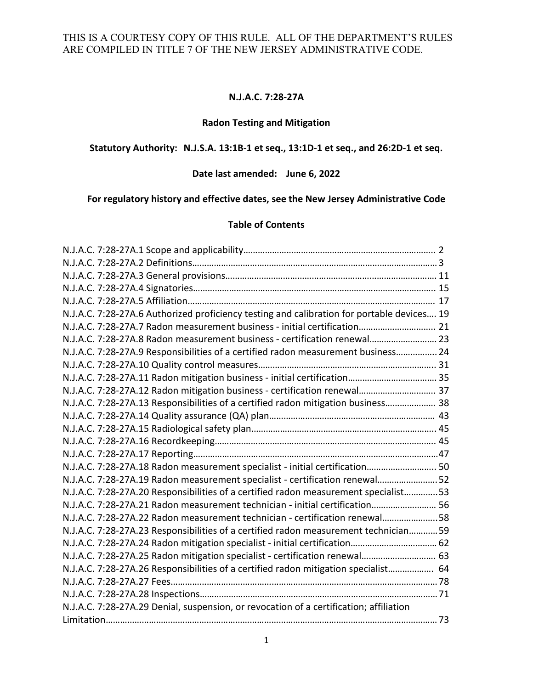## **N.J.A.C. 7:28-27A**

# **Radon Testing and Mitigation**

#### **Statutory Authority: N.J.S.A. 13:1B-1 et seq., 13:1D-1 et seq., and 26:2D-1 et seq.**

# **Date last amended: June 6, 2022**

# **For regulatory history and effective dates, see the New Jersey Administrative Code**

#### **Table of Contents**

| N.J.A.C. 7:28-27A.6 Authorized proficiency testing and calibration for portable devices 19 |  |
|--------------------------------------------------------------------------------------------|--|
| N.J.A.C. 7:28-27A.7 Radon measurement business - initial certification 21                  |  |
| N.J.A.C. 7:28-27A.8 Radon measurement business - certification renewal 23                  |  |
| N.J.A.C. 7:28-27A.9 Responsibilities of a certified radon measurement business 24          |  |
|                                                                                            |  |
|                                                                                            |  |
| N.J.A.C. 7:28-27A.12 Radon mitigation business - certification renewal 37                  |  |
| N.J.A.C. 7:28-27A.13 Responsibilities of a certified radon mitigation business 38          |  |
|                                                                                            |  |
|                                                                                            |  |
|                                                                                            |  |
|                                                                                            |  |
| N.J.A.C. 7:28-27A.18 Radon measurement specialist - initial certification 50               |  |
| N.J.A.C. 7:28-27A.19 Radon measurement specialist - certification renewal52                |  |
| N.J.A.C. 7:28-27A.20 Responsibilities of a certified radon measurement specialist53        |  |
| N.J.A.C. 7:28-27A.21 Radon measurement technician - initial certification 56               |  |
| N.J.A.C. 7:28-27A.22 Radon measurement technician - certification renewal58                |  |
| N.J.A.C. 7:28-27A.23 Responsibilities of a certified radon measurement technician 59       |  |
| N.J.A.C. 7:28-27A.24 Radon mitigation specialist - initial certification 62                |  |
| N.J.A.C. 7:28-27A.25 Radon mitigation specialist - certification renewal 63                |  |
| N.J.A.C. 7:28-27A.26 Responsibilities of a certified radon mitigation specialist 64        |  |
|                                                                                            |  |
|                                                                                            |  |
| N.J.A.C. 7:28-27A.29 Denial, suspension, or revocation of a certification; affiliation     |  |
|                                                                                            |  |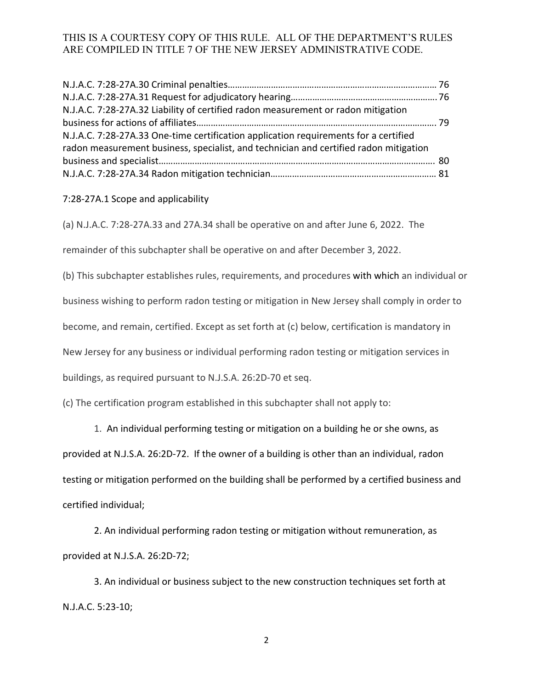| N.J.A.C. 7:28-27A.32 Liability of certified radon measurement or radon mitigation     |  |
|---------------------------------------------------------------------------------------|--|
|                                                                                       |  |
| N.J.A.C. 7:28-27A.33 One-time certification application requirements for a certified  |  |
| radon measurement business, specialist, and technician and certified radon mitigation |  |
|                                                                                       |  |
|                                                                                       |  |

#### 7:28-27A.1 Scope and applicability

(a) N.J.A.C. 7:28-27A.33 and 27A.34 shall be operative on and after June 6, 2022. The

remainder of this subchapter shall be operative on and after December 3, 2022.

(b) This subchapter establishes rules, requirements, and procedures with which an individual or

business wishing to perform radon testing or mitigation in New Jersey shall comply in order to

become, and remain, certified. Except as set forth at (c) below, certification is mandatory in

New Jersey for any business or individual performing radon testing or mitigation services in

buildings, as required pursuant to N.J.S.A. 26:2D-70 et seq.

(c) The certification program established in this subchapter shall not apply to:

1. An individual performing testing or mitigation on a building he or she owns, as

provided at N.J.S.A. 26:2D-72. If the owner of a building is other than an individual, radon

testing or mitigation performed on the building shall be performed by a certified business and

certified individual;

 2. An individual performing radon testing or mitigation without remuneration, as provided at N.J.S.A. 26:2D-72;

 3. An individual or business subject to the new construction techniques set forth at N.J.A.C. 5:23-10;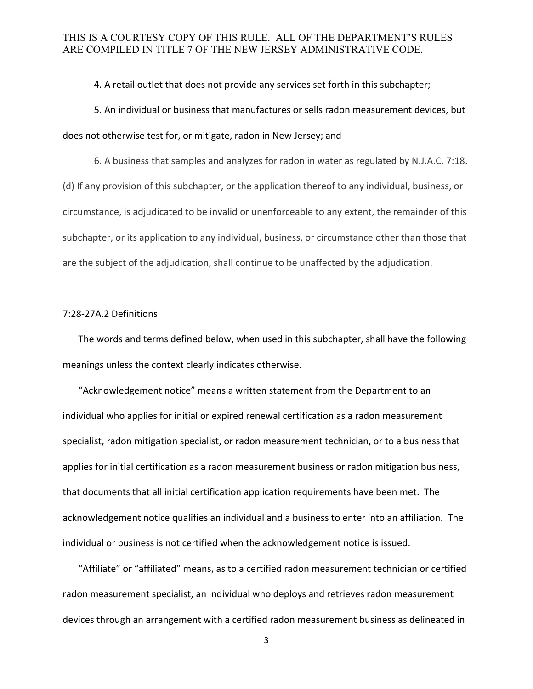#### 4. A retail outlet that does not provide any services set forth in this subchapter;

 5. An individual or business that manufactures or sells radon measurement devices, but does not otherwise test for, or mitigate, radon in New Jersey; and

 6. A business that samples and analyzes for radon in water as regulated by N.J.A.C. 7:18. (d) If any provision of this subchapter, or the application thereof to any individual, business, or circumstance, is adjudicated to be invalid or unenforceable to any extent, the remainder of this subchapter, or its application to any individual, business, or circumstance other than those that are the subject of the adjudication, shall continue to be unaffected by the adjudication.

#### 7:28-27A.2 Definitions

The words and terms defined below, when used in this subchapter, shall have the following meanings unless the context clearly indicates otherwise.

"Acknowledgement notice" means a written statement from the Department to an individual who applies for initial or expired renewal certification as a radon measurement specialist, radon mitigation specialist, or radon measurement technician, or to a business that applies for initial certification as a radon measurement business or radon mitigation business, that documents that all initial certification application requirements have been met. The acknowledgement notice qualifies an individual and a business to enter into an affiliation. The individual or business is not certified when the acknowledgement notice is issued.

"Affiliate" or "affiliated" means, as to a certified radon measurement technician or certified radon measurement specialist, an individual who deploys and retrieves radon measurement devices through an arrangement with a certified radon measurement business as delineated in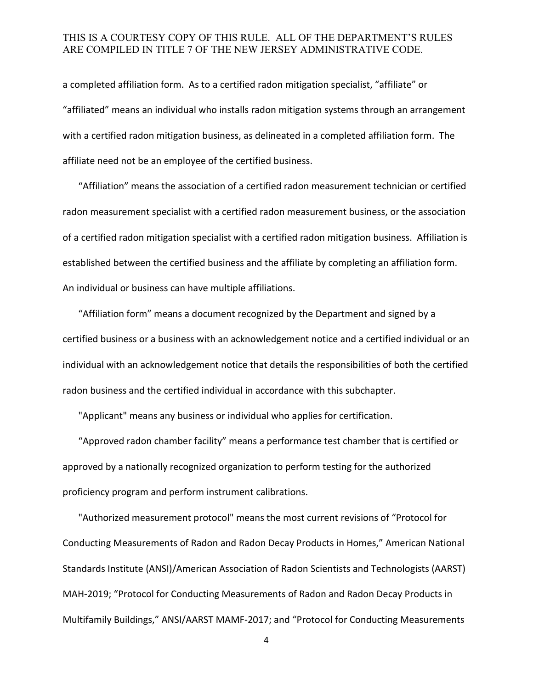a completed affiliation form. As to a certified radon mitigation specialist, "affiliate" or "affiliated" means an individual who installs radon mitigation systems through an arrangement with a certified radon mitigation business, as delineated in a completed affiliation form. The affiliate need not be an employee of the certified business.

"Affiliation" means the association of a certified radon measurement technician or certified radon measurement specialist with a certified radon measurement business, or the association of a certified radon mitigation specialist with a certified radon mitigation business. Affiliation is established between the certified business and the affiliate by completing an affiliation form. An individual or business can have multiple affiliations.

"Affiliation form" means a document recognized by the Department and signed by a certified business or a business with an acknowledgement notice and a certified individual or an individual with an acknowledgement notice that details the responsibilities of both the certified radon business and the certified individual in accordance with this subchapter.

"Applicant" means any business or individual who applies for certification.

"Approved radon chamber facility" means a performance test chamber that is certified or approved by a nationally recognized organization to perform testing for the authorized proficiency program and perform instrument calibrations.

"Authorized measurement protocol" means the most current revisions of "Protocol for Conducting Measurements of Radon and Radon Decay Products in Homes," American National Standards Institute (ANSI)/American Association of Radon Scientists and Technologists (AARST) MAH-2019; "Protocol for Conducting Measurements of Radon and Radon Decay Products in Multifamily Buildings," ANSI/AARST MAMF-2017; and "Protocol for Conducting Measurements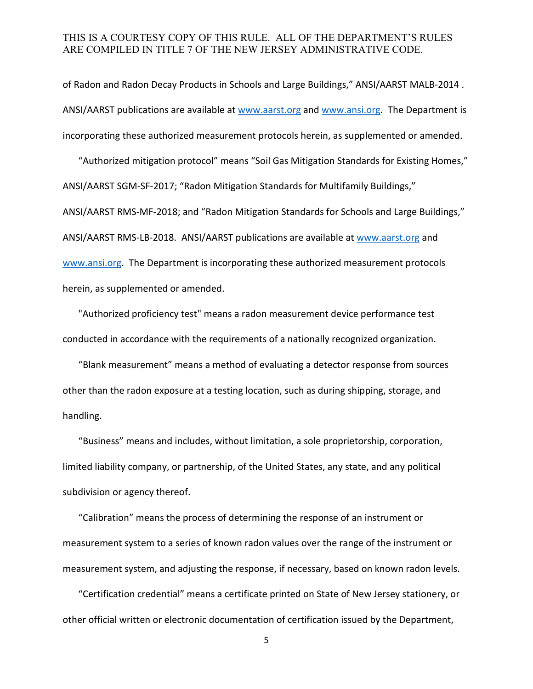of Radon and Radon Decay Products in Schools and Large Buildings," ANSI/AARST MALB-2014 . ANSI/AARST publications are available at [www.aarst.org](http://www.aarst.org/) and [www.ansi.org.](http://www.ansi.org/) The Department is incorporating these authorized measurement protocols herein, as supplemented or amended.

"Authorized mitigation protocol" means "Soil Gas Mitigation Standards for Existing Homes," ANSI/AARST SGM-SF-2017; "Radon Mitigation Standards for Multifamily Buildings," ANSI/AARST RMS-MF-2018; and "Radon Mitigation Standards for Schools and Large Buildings," ANSI/AARST RMS-LB-2018. ANSI/AARST publications are available a[t www.aarst.org](http://www.aarst.org/) and [www.ansi.org.](http://www.ansi.org/) The Department is incorporating these authorized measurement protocols herein, as supplemented or amended.

"Authorized proficiency test" means a radon measurement device performance test conducted in accordance with the requirements of a nationally recognized organization.

"Blank measurement" means a method of evaluating a detector response from sources other than the radon exposure at a testing location, such as during shipping, storage, and handling.

"Business" means and includes, without limitation, a sole proprietorship, corporation, limited liability company, or partnership, of the United States, any state, and any political subdivision or agency thereof.

"Calibration" means the process of determining the response of an instrument or measurement system to a series of known radon values over the range of the instrument or measurement system, and adjusting the response, if necessary, based on known radon levels.

 "Certification credential" means a certificate printed on State of New Jersey stationery, or other official written or electronic documentation of certification issued by the Department,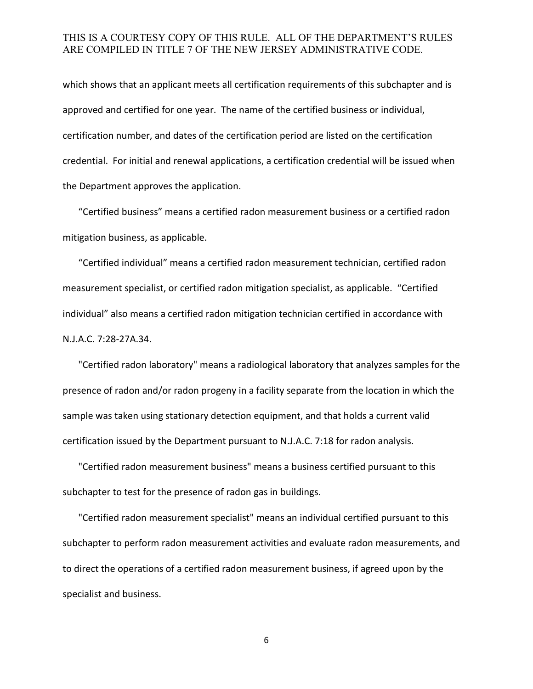which shows that an applicant meets all certification requirements of this subchapter and is approved and certified for one year. The name of the certified business or individual, certification number, and dates of the certification period are listed on the certification credential. For initial and renewal applications, a certification credential will be issued when the Department approves the application.

"Certified business" means a certified radon measurement business or a certified radon mitigation business, as applicable.

"Certified individual" means a certified radon measurement technician, certified radon measurement specialist, or certified radon mitigation specialist, as applicable. "Certified individual" also means a certified radon mitigation technician certified in accordance with N.J.A.C. 7:28-27A.34.

"Certified radon laboratory" means a radiological laboratory that analyzes samples for the presence of radon and/or radon progeny in a facility separate from the location in which the sample was taken using stationary detection equipment, and that holds a current valid certification issued by the Department pursuant to N.J.A.C. 7:18 for radon analysis.

"Certified radon measurement business" means a business certified pursuant to this subchapter to test for the presence of radon gas in buildings.

"Certified radon measurement specialist" means an individual certified pursuant to this subchapter to perform radon measurement activities and evaluate radon measurements, and to direct the operations of a certified radon measurement business, if agreed upon by the specialist and business.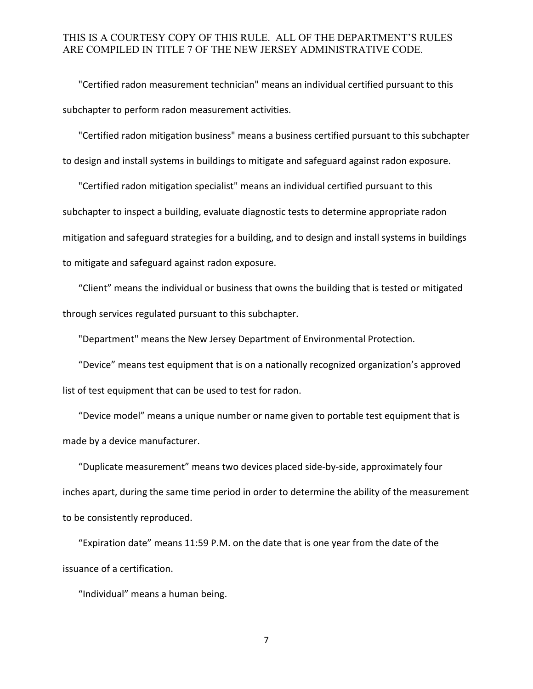"Certified radon measurement technician" means an individual certified pursuant to this subchapter to perform radon measurement activities.

"Certified radon mitigation business" means a business certified pursuant to this subchapter to design and install systems in buildings to mitigate and safeguard against radon exposure.

"Certified radon mitigation specialist" means an individual certified pursuant to this subchapter to inspect a building, evaluate diagnostic tests to determine appropriate radon mitigation and safeguard strategies for a building, and to design and install systems in buildings to mitigate and safeguard against radon exposure.

"Client" means the individual or business that owns the building that is tested or mitigated through services regulated pursuant to this subchapter.

"Department" means the New Jersey Department of Environmental Protection.

"Device" means test equipment that is on a nationally recognized organization's approved list of test equipment that can be used to test for radon.

"Device model" means a unique number or name given to portable test equipment that is made by a device manufacturer.

"Duplicate measurement" means two devices placed side-by-side, approximately four inches apart, during the same time period in order to determine the ability of the measurement to be consistently reproduced.

"Expiration date" means 11:59 P.M. on the date that is one year from the date of the issuance of a certification.

"Individual" means a human being.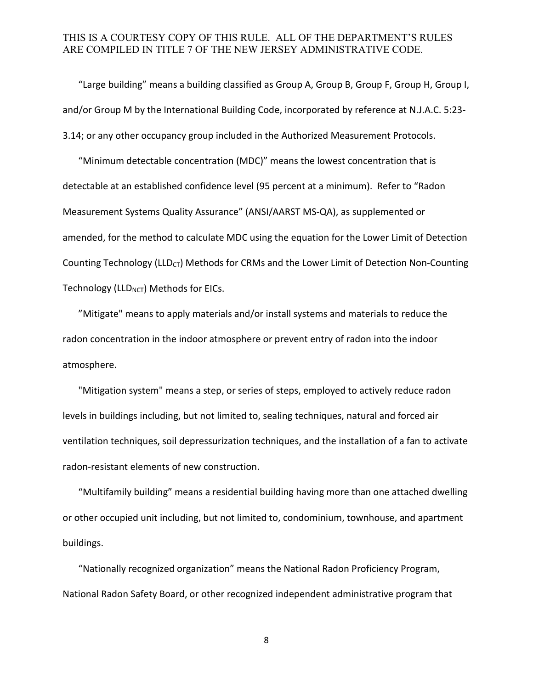"Large building" means a building classified as Group A, Group B, Group F, Group H, Group I, and/or Group M by the International Building Code, incorporated by reference at N.J.A.C. 5:23- 3.14; or any other occupancy group included in the Authorized Measurement Protocols.

"Minimum detectable concentration (MDC)" means the lowest concentration that is detectable at an established confidence level (95 percent at a minimum). Refer to "Radon Measurement Systems Quality Assurance" (ANSI/AARST MS-QA), as supplemented or amended, for the method to calculate MDC using the equation for the Lower Limit of Detection Counting Technology (LLD<sub>CT</sub>) Methods for CRMs and the Lower Limit of Detection Non-Counting Technology (LLD $_{NCT}$ ) Methods for EICs.

"Mitigate" means to apply materials and/or install systems and materials to reduce the radon concentration in the indoor atmosphere or prevent entry of radon into the indoor atmosphere.

"Mitigation system" means a step, or series of steps, employed to actively reduce radon levels in buildings including, but not limited to, sealing techniques, natural and forced air ventilation techniques, soil depressurization techniques, and the installation of a fan to activate radon-resistant elements of new construction.

"Multifamily building" means a residential building having more than one attached dwelling or other occupied unit including, but not limited to, condominium, townhouse, and apartment buildings.

"Nationally recognized organization" means the National Radon Proficiency Program, National Radon Safety Board, or other recognized independent administrative program that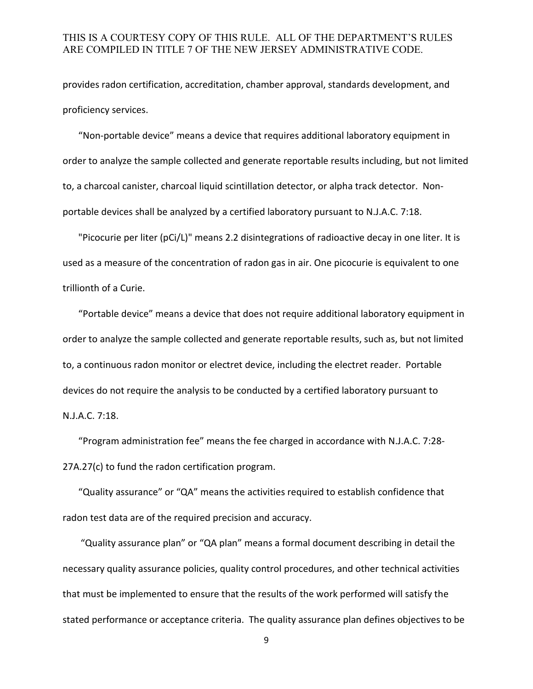provides radon certification, accreditation, chamber approval, standards development, and proficiency services.

"Non-portable device" means a device that requires additional laboratory equipment in order to analyze the sample collected and generate reportable results including, but not limited to, a charcoal canister, charcoal liquid scintillation detector, or alpha track detector. Nonportable devices shall be analyzed by a certified laboratory pursuant to N.J.A.C. 7:18.

"Picocurie per liter (pCi/L)" means 2.2 disintegrations of radioactive decay in one liter. It is used as a measure of the concentration of radon gas in air. One picocurie is equivalent to one trillionth of a Curie.

"Portable device" means a device that does not require additional laboratory equipment in order to analyze the sample collected and generate reportable results, such as, but not limited to, a continuous radon monitor or electret device, including the electret reader. Portable devices do not require the analysis to be conducted by a certified laboratory pursuant to N.J.A.C. 7:18.

"Program administration fee" means the fee charged in accordance with N.J.A.C. 7:28- 27A.27(c) to fund the radon certification program.

"Quality assurance" or "QA" means the activities required to establish confidence that radon test data are of the required precision and accuracy.

"Quality assurance plan" or "QA plan" means a formal document describing in detail the necessary quality assurance policies, quality control procedures, and other technical activities that must be implemented to ensure that the results of the work performed will satisfy the stated performance or acceptance criteria. The quality assurance plan defines objectives to be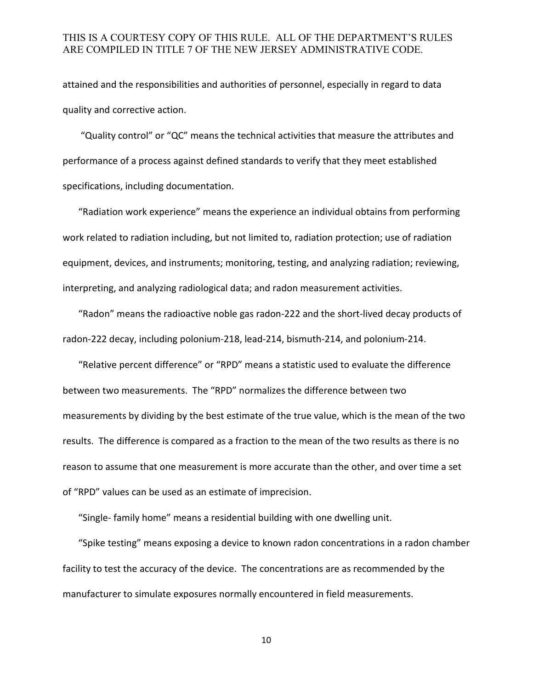attained and the responsibilities and authorities of personnel, especially in regard to data quality and corrective action.

"Quality control" or "QC" means the technical activities that measure the attributes and performance of a process against defined standards to verify that they meet established specifications, including documentation.

"Radiation work experience" means the experience an individual obtains from performing work related to radiation including, but not limited to, radiation protection; use of radiation equipment, devices, and instruments; monitoring, testing, and analyzing radiation; reviewing, interpreting, and analyzing radiological data; and radon measurement activities.

"Radon" means the radioactive noble gas radon-222 and the short-lived decay products of radon-222 decay, including polonium-218, lead-214, bismuth-214, and polonium-214.

"Relative percent difference" or "RPD" means a statistic used to evaluate the difference between two measurements. The "RPD" normalizes the difference between two measurements by dividing by the best estimate of the true value, which is the mean of the two results. The difference is compared as a fraction to the mean of the two results as there is no reason to assume that one measurement is more accurate than the other, and over time a set of "RPD" values can be used as an estimate of imprecision.

"Single- family home" means a residential building with one dwelling unit.

"Spike testing" means exposing a device to known radon concentrations in a radon chamber facility to test the accuracy of the device. The concentrations are as recommended by the manufacturer to simulate exposures normally encountered in field measurements.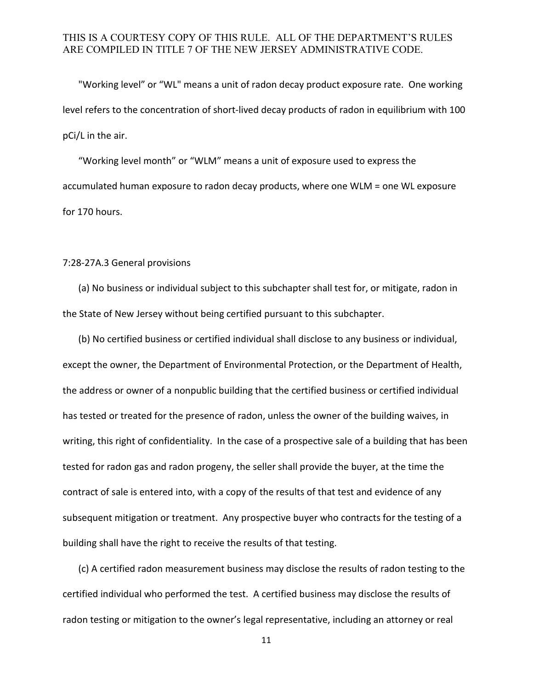"Working level" or "WL" means a unit of radon decay product exposure rate. One working level refers to the concentration of short-lived decay products of radon in equilibrium with 100 pCi/L in the air.

"Working level month" or "WLM" means a unit of exposure used to express the accumulated human exposure to radon decay products, where one WLM = one WL exposure for 170 hours.

#### 7:28-27A.3 General provisions

(a) No business or individual subject to this subchapter shall test for, or mitigate, radon in the State of New Jersey without being certified pursuant to this subchapter.

(b) No certified business or certified individual shall disclose to any business or individual, except the owner, the Department of Environmental Protection, or the Department of Health, the address or owner of a nonpublic building that the certified business or certified individual has tested or treated for the presence of radon, unless the owner of the building waives, in writing, this right of confidentiality. In the case of a prospective sale of a building that has been tested for radon gas and radon progeny, the seller shall provide the buyer, at the time the contract of sale is entered into, with a copy of the results of that test and evidence of any subsequent mitigation or treatment. Any prospective buyer who contracts for the testing of a building shall have the right to receive the results of that testing.

(c) A certified radon measurement business may disclose the results of radon testing to the certified individual who performed the test. A certified business may disclose the results of radon testing or mitigation to the owner's legal representative, including an attorney or real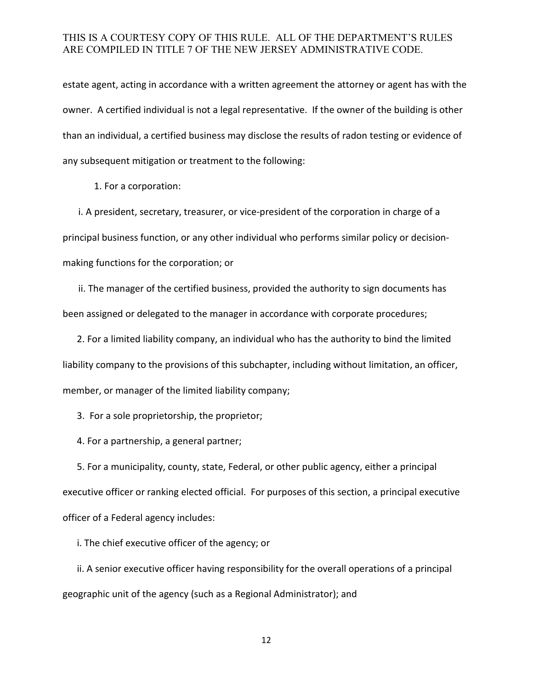estate agent, acting in accordance with a written agreement the attorney or agent has with the owner. A certified individual is not a legal representative. If the owner of the building is other than an individual, a certified business may disclose the results of radon testing or evidence of any subsequent mitigation or treatment to the following:

1. For a corporation:

i. A president, secretary, treasurer, or vice-president of the corporation in charge of a principal business function, or any other individual who performs similar policy or decisionmaking functions for the corporation; or

ii. The manager of the certified business, provided the authority to sign documents has been assigned or delegated to the manager in accordance with corporate procedures;

 2. For a limited liability company, an individual who has the authority to bind the limited liability company to the provisions of this subchapter, including without limitation, an officer, member, or manager of the limited liability company;

3. For a sole proprietorship, the proprietor;

4. For a partnership, a general partner;

 5. For a municipality, county, state, Federal, or other public agency, either a principal executive officer or ranking elected official. For purposes of this section, a principal executive officer of a Federal agency includes:

i. The chief executive officer of the agency; or

 ii. A senior executive officer having responsibility for the overall operations of a principal geographic unit of the agency (such as a Regional Administrator); and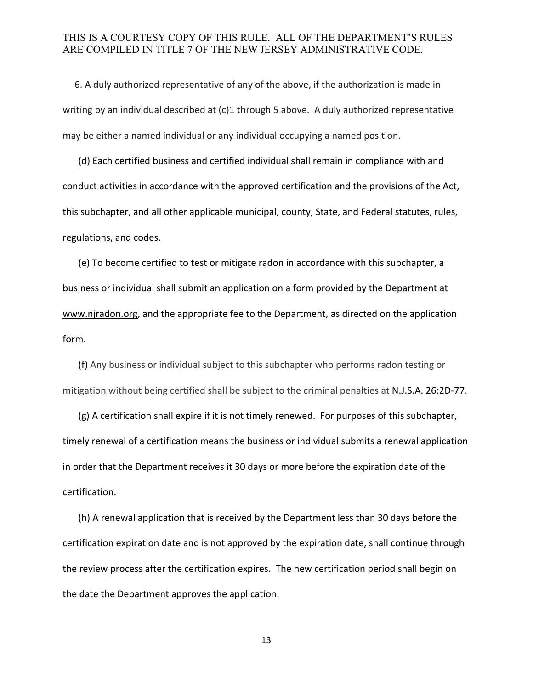6. A duly authorized representative of any of the above, if the authorization is made in writing by an individual described at (c)1 through 5 above. A duly authorized representative may be either a named individual or any individual occupying a named position.

(d) Each certified business and certified individual shall remain in compliance with and conduct activities in accordance with the approved certification and the provisions of the Act, this subchapter, and all other applicable municipal, county, State, and Federal statutes, rules, regulations, and codes.

(e) To become certified to test or mitigate radon in accordance with this subchapter, a business or individual shall submit an application on a form provided by the Department at www.njradon.org, and the appropriate fee to the Department, as directed on the application form.

(f) Any business or individual subject to this subchapter who performs radon testing or mitigation without being certified shall be subject to the criminal penalties at N.J.S.A. 26:2D-77.

(g) A certification shall expire if it is not timely renewed. For purposes of this subchapter, timely renewal of a certification means the business or individual submits a renewal application in order that the Department receives it 30 days or more before the expiration date of the certification.

(h) A renewal application that is received by the Department less than 30 days before the certification expiration date and is not approved by the expiration date, shall continue through the review process after the certification expires. The new certification period shall begin on the date the Department approves the application.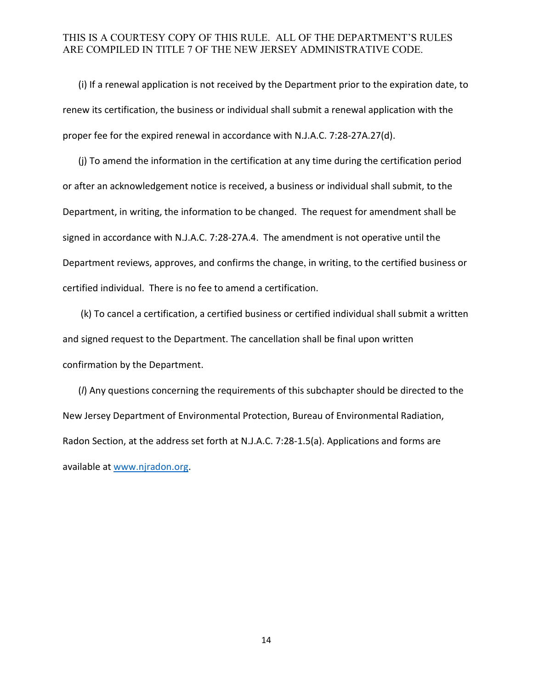(i) If a renewal application is not received by the Department prior to the expiration date, to renew its certification, the business or individual shall submit a renewal application with the proper fee for the expired renewal in accordance with N.J.A.C. 7:28-27A.27(d).

(j) To amend the information in the certification at any time during the certification period or after an acknowledgement notice is received, a business or individual shall submit, to the Department, in writing, the information to be changed. The request for amendment shall be signed in accordance with N.J.A.C. 7:28-27A.4. The amendment is not operative until the Department reviews, approves, and confirms the change, in writing, to the certified business or certified individual. There is no fee to amend a certification.

 (k) To cancel a certification, a certified business or certified individual shall submit a written and signed request to the Department. The cancellation shall be final upon written confirmation by the Department.

 (*l*) Any questions concerning the requirements of this subchapter should be directed to the New Jersey Department of Environmental Protection, Bureau of Environmental Radiation, Radon Section, at the address set forth at N.J.A.C. 7:28-1.5(a). Applications and forms are available at [www.njradon.org.](http://www.njradon.org/)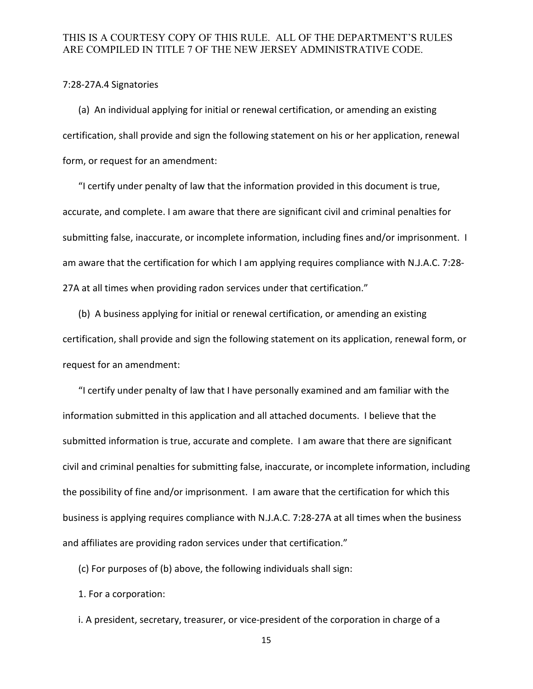#### 7:28-27A.4 Signatories

(a) An individual applying for initial or renewal certification, or amending an existing certification, shall provide and sign the following statement on his or her application, renewal form, or request for an amendment:

"I certify under penalty of law that the information provided in this document is true, accurate, and complete. I am aware that there are significant civil and criminal penalties for submitting false, inaccurate, or incomplete information, including fines and/or imprisonment. I am aware that the certification for which I am applying requires compliance with N.J.A.C. 7:28- 27A at all times when providing radon services under that certification."

(b) A business applying for initial or renewal certification, or amending an existing certification, shall provide and sign the following statement on its application, renewal form, or request for an amendment:

"I certify under penalty of law that I have personally examined and am familiar with the information submitted in this application and all attached documents. I believe that the submitted information is true, accurate and complete. I am aware that there are significant civil and criminal penalties for submitting false, inaccurate, or incomplete information, including the possibility of fine and/or imprisonment. I am aware that the certification for which this business is applying requires compliance with N.J.A.C. 7:28-27A at all times when the business and affiliates are providing radon services under that certification."

(c) For purposes of (b) above, the following individuals shall sign:

1. For a corporation:

i. A president, secretary, treasurer, or vice-president of the corporation in charge of a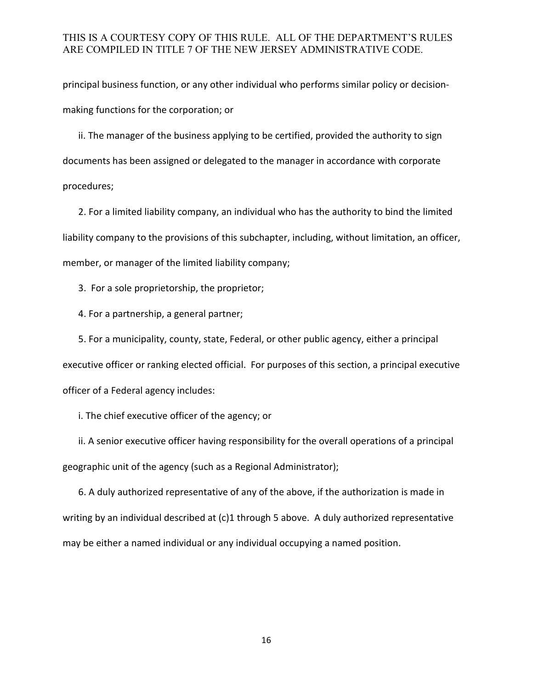principal business function, or any other individual who performs similar policy or decisionmaking functions for the corporation; or

ii. The manager of the business applying to be certified, provided the authority to sign documents has been assigned or delegated to the manager in accordance with corporate procedures;

2. For a limited liability company, an individual who has the authority to bind the limited liability company to the provisions of this subchapter, including, without limitation, an officer, member, or manager of the limited liability company;

3. For a sole proprietorship, the proprietor;

4. For a partnership, a general partner;

5. For a municipality, county, state, Federal, or other public agency, either a principal executive officer or ranking elected official. For purposes of this section, a principal executive officer of a Federal agency includes:

i. The chief executive officer of the agency; or

ii. A senior executive officer having responsibility for the overall operations of a principal geographic unit of the agency (such as a Regional Administrator);

6. A duly authorized representative of any of the above, if the authorization is made in writing by an individual described at (c)1 through 5 above. A duly authorized representative may be either a named individual or any individual occupying a named position.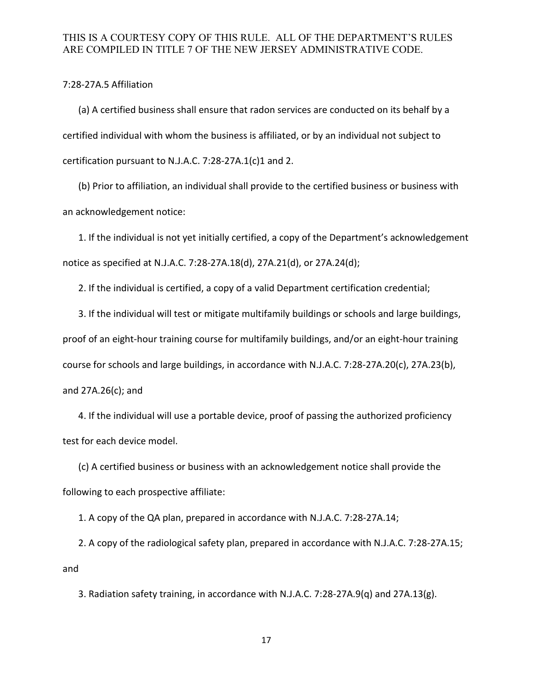7:28-27A.5 Affiliation

(a) A certified business shall ensure that radon services are conducted on its behalf by a certified individual with whom the business is affiliated, or by an individual not subject to certification pursuant to N.J.A.C. 7:28-27A.1(c)1 and 2.

(b) Prior to affiliation, an individual shall provide to the certified business or business with an acknowledgement notice:

1. If the individual is not yet initially certified, a copy of the Department's acknowledgement notice as specified at N.J.A.C. 7:28-27A.18(d), 27A.21(d), or 27A.24(d);

2. If the individual is certified, a copy of a valid Department certification credential;

3. If the individual will test or mitigate multifamily buildings or schools and large buildings, proof of an eight-hour training course for multifamily buildings, and/or an eight-hour training course for schools and large buildings, in accordance with N.J.A.C. 7:28-27A.20(c), 27A.23(b), and 27A.26(c); and

4. If the individual will use a portable device, proof of passing the authorized proficiency test for each device model.

(c) A certified business or business with an acknowledgement notice shall provide the following to each prospective affiliate:

1. A copy of the QA plan, prepared in accordance with N.J.A.C. 7:28-27A.14;

2. A copy of the radiological safety plan, prepared in accordance with N.J.A.C. 7:28-27A.15; and

3. Radiation safety training, in accordance with N.J.A.C. 7:28-27A.9(q) and 27A.13(g).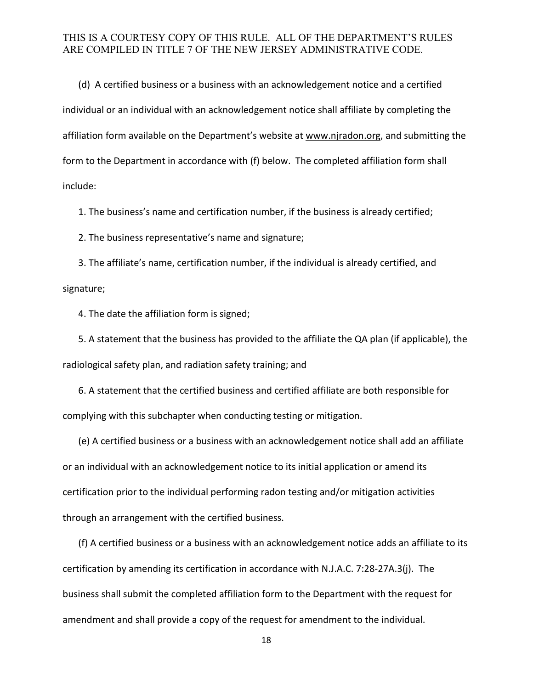(d) A certified business or a business with an acknowledgement notice and a certified individual or an individual with an acknowledgement notice shall affiliate by completing the affiliation form available on the Department's website at www.njradon.org, and submitting the form to the Department in accordance with (f) below. The completed affiliation form shall include:

1. The business's name and certification number, if the business is already certified;

2. The business representative's name and signature;

 3. The affiliate's name, certification number, if the individual is already certified, and signature;

4. The date the affiliation form is signed;

 5. A statement that the business has provided to the affiliate the QA plan (if applicable), the radiological safety plan, and radiation safety training; and

 6. A statement that the certified business and certified affiliate are both responsible for complying with this subchapter when conducting testing or mitigation.

(e) A certified business or a business with an acknowledgement notice shall add an affiliate or an individual with an acknowledgement notice to its initial application or amend its certification prior to the individual performing radon testing and/or mitigation activities through an arrangement with the certified business.

(f) A certified business or a business with an acknowledgement notice adds an affiliate to its certification by amending its certification in accordance with N.J.A.C. 7:28-27A.3(j). The business shall submit the completed affiliation form to the Department with the request for amendment and shall provide a copy of the request for amendment to the individual.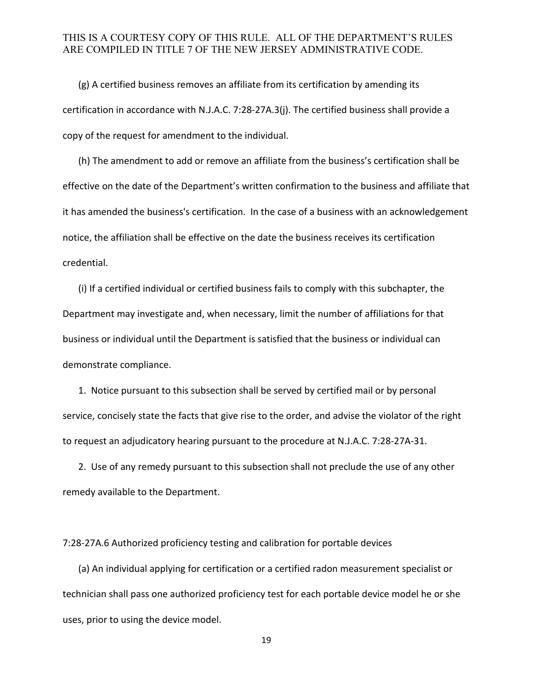(g) A certified business removes an affiliate from its certification by amending its certification in accordance with N.J.A.C. 7:28-27A.3(j). The certified business shall provide a copy of the request for amendment to the individual.

(h) The amendment to add or remove an affiliate from the business's certification shall be effective on the date of the Department's written confirmation to the business and affiliate that it has amended the business's certification. In the case of a business with an acknowledgement notice, the affiliation shall be effective on the date the business receives its certification credential.

(i) If a certified individual or certified business fails to comply with this subchapter, the Department may investigate and, when necessary, limit the number of affiliations for that business or individual until the Department is satisfied that the business or individual can demonstrate compliance.

1. Notice pursuant to this subsection shall be served by certified mail or by personal service, concisely state the facts that give rise to the order, and advise the violator of the right to request an adjudicatory hearing pursuant to the procedure at N.J.A.C. 7:28-27A-31.

2. Use of any remedy pursuant to this subsection shall not preclude the use of any other remedy available to the Department.

7:28-27A.6 Authorized proficiency testing and calibration for portable devices

(a) An individual applying for certification or a certified radon measurement specialist or technician shall pass one authorized proficiency test for each portable device model he or she uses, prior to using the device model.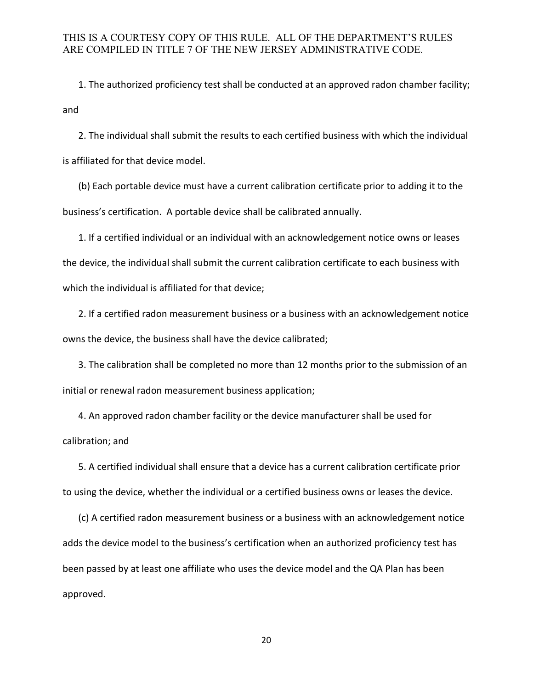1. The authorized proficiency test shall be conducted at an approved radon chamber facility; and

2. The individual shall submit the results to each certified business with which the individual is affiliated for that device model.

(b) Each portable device must have a current calibration certificate prior to adding it to the business's certification. A portable device shall be calibrated annually.

1. If a certified individual or an individual with an acknowledgement notice owns or leases the device, the individual shall submit the current calibration certificate to each business with which the individual is affiliated for that device;

2. If a certified radon measurement business or a business with an acknowledgement notice owns the device, the business shall have the device calibrated;

3. The calibration shall be completed no more than 12 months prior to the submission of an initial or renewal radon measurement business application;

4. An approved radon chamber facility or the device manufacturer shall be used for calibration; and

5. A certified individual shall ensure that a device has a current calibration certificate prior to using the device, whether the individual or a certified business owns or leases the device.

(c) A certified radon measurement business or a business with an acknowledgement notice adds the device model to the business's certification when an authorized proficiency test has been passed by at least one affiliate who uses the device model and the QA Plan has been approved.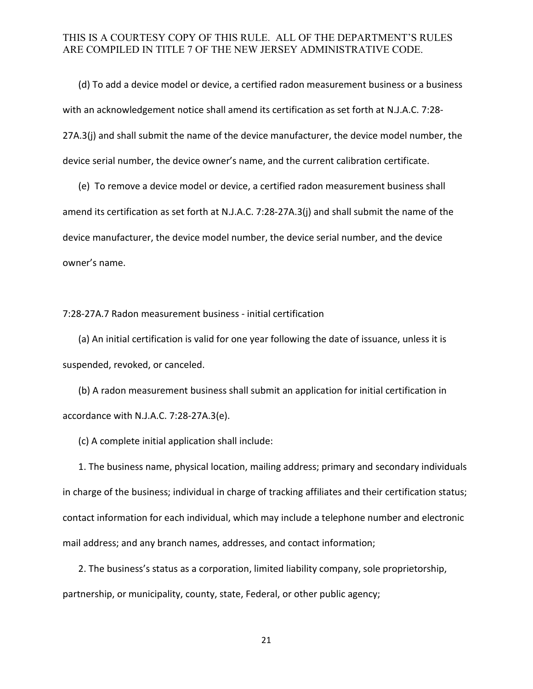(d) To add a device model or device, a certified radon measurement business or a business with an acknowledgement notice shall amend its certification as set forth at N.J.A.C. 7:28- 27A.3(j) and shall submit the name of the device manufacturer, the device model number, the device serial number, the device owner's name, and the current calibration certificate.

(e) To remove a device model or device, a certified radon measurement business shall amend its certification as set forth at N.J.A.C. 7:28-27A.3(j) and shall submit the name of the device manufacturer, the device model number, the device serial number, and the device owner's name.

7:28-27A.7 Radon measurement business - initial certification

(a) An initial certification is valid for one year following the date of issuance, unless it is suspended, revoked, or canceled.

(b) A radon measurement business shall submit an application for initial certification in accordance with N.J.A.C. 7:28-27A.3(e).

(c) A complete initial application shall include:

1. The business name, physical location, mailing address; primary and secondary individuals in charge of the business; individual in charge of tracking affiliates and their certification status; contact information for each individual, which may include a telephone number and electronic mail address; and any branch names, addresses, and contact information;

 2. The business's status as a corporation, limited liability company, sole proprietorship, partnership, or municipality, county, state, Federal, or other public agency;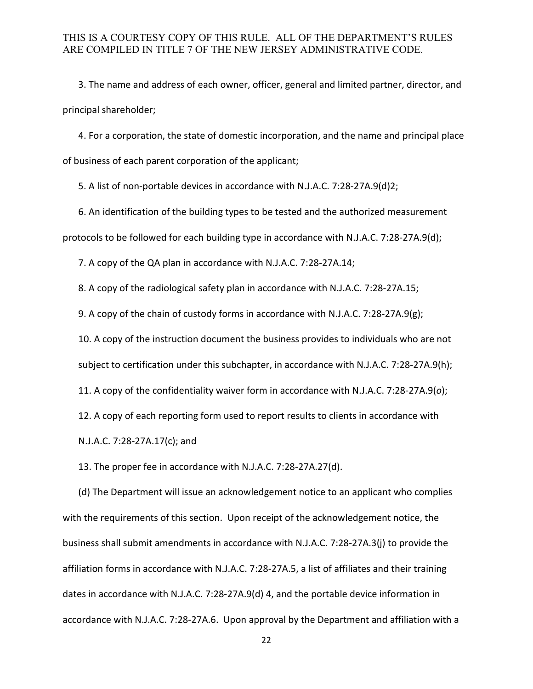3. The name and address of each owner, officer, general and limited partner, director, and principal shareholder;

 4. For a corporation, the state of domestic incorporation, and the name and principal place of business of each parent corporation of the applicant;

5. A list of non-portable devices in accordance with N.J.A.C. 7:28-27A.9(d)2;

6. An identification of the building types to be tested and the authorized measurement protocols to be followed for each building type in accordance with N.J.A.C. 7:28-27A.9(d);

7. A copy of the QA plan in accordance with N.J.A.C. 7:28-27A.14;

8. A copy of the radiological safety plan in accordance with N.J.A.C. 7:28-27A.15;

9. A copy of the chain of custody forms in accordance with N.J.A.C. 7:28-27A.9(g);

10. A copy of the instruction document the business provides to individuals who are not

subject to certification under this subchapter, in accordance with N.J.A.C. 7:28-27A.9(h);

11. A copy of the confidentiality waiver form in accordance with N.J.A.C. 7:28-27A.9(*o*);

12. A copy of each reporting form used to report results to clients in accordance with

N.J.A.C. 7:28-27A.17(c); and

13. The proper fee in accordance with N.J.A.C. 7:28-27A.27(d).

(d) The Department will issue an acknowledgement notice to an applicant who complies with the requirements of this section. Upon receipt of the acknowledgement notice, the business shall submit amendments in accordance with N.J.A.C. 7:28-27A.3(j) to provide the affiliation forms in accordance with N.J.A.C. 7:28-27A.5, a list of affiliates and their training dates in accordance with N.J.A.C. 7:28-27A.9(d) 4, and the portable device information in accordance with N.J.A.C. 7:28-27A.6. Upon approval by the Department and affiliation with a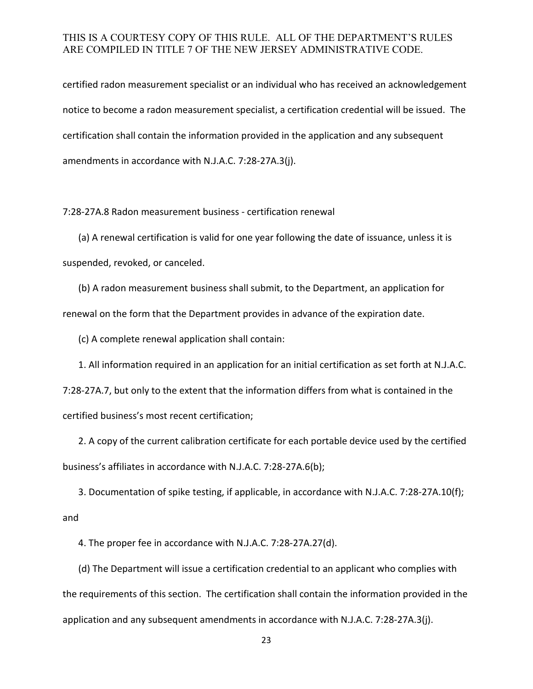certified radon measurement specialist or an individual who has received an acknowledgement notice to become a radon measurement specialist, a certification credential will be issued. The certification shall contain the information provided in the application and any subsequent amendments in accordance with N.J.A.C. 7:28-27A.3(j).

7:28-27A.8 Radon measurement business - certification renewal

(a) A renewal certification is valid for one year following the date of issuance, unless it is suspended, revoked, or canceled.

(b) A radon measurement business shall submit, to the Department, an application for renewal on the form that the Department provides in advance of the expiration date.

(c) A complete renewal application shall contain:

1. All information required in an application for an initial certification as set forth at N.J.A.C. 7:28-27A.7, but only to the extent that the information differs from what is contained in the certified business's most recent certification;

2. A copy of the current calibration certificate for each portable device used by the certified business's affiliates in accordance with N.J.A.C. 7:28-27A.6(b);

3. Documentation of spike testing, if applicable, in accordance with N.J.A.C. 7:28-27A.10(f); and

4. The proper fee in accordance with N.J.A.C. 7:28-27A.27(d).

(d) The Department will issue a certification credential to an applicant who complies with the requirements of this section. The certification shall contain the information provided in the application and any subsequent amendments in accordance with N.J.A.C. 7:28-27A.3(j).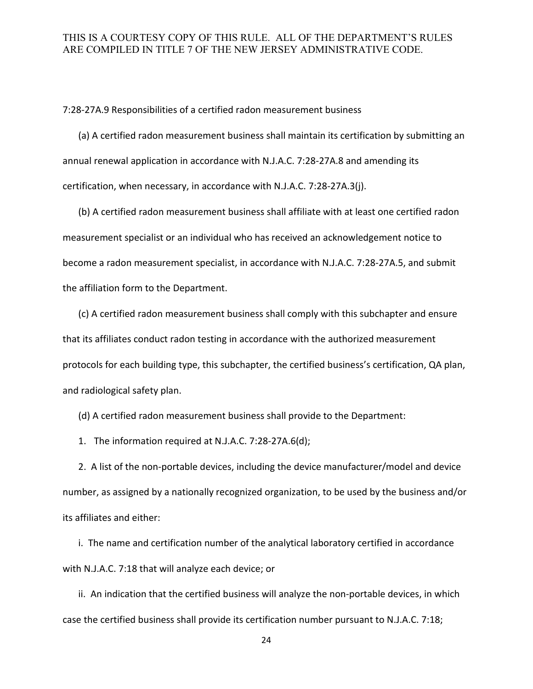7:28-27A.9 Responsibilities of a certified radon measurement business

(a) A certified radon measurement business shall maintain its certification by submitting an annual renewal application in accordance with N.J.A.C. 7:28-27A.8 and amending its certification, when necessary, in accordance with N.J.A.C. 7:28-27A.3(j).

(b) A certified radon measurement business shall affiliate with at least one certified radon measurement specialist or an individual who has received an acknowledgement notice to become a radon measurement specialist, in accordance with N.J.A.C. 7:28-27A.5, and submit the affiliation form to the Department.

(c) A certified radon measurement business shall comply with this subchapter and ensure that its affiliates conduct radon testing in accordance with the authorized measurement protocols for each building type, this subchapter, the certified business's certification, QA plan, and radiological safety plan.

(d) A certified radon measurement business shall provide to the Department:

1. The information required at N.J.A.C. 7:28-27A.6(d);

2. A list of the non-portable devices, including the device manufacturer/model and device number, as assigned by a nationally recognized organization, to be used by the business and/or its affiliates and either:

i. The name and certification number of the analytical laboratory certified in accordance with N.J.A.C. 7:18 that will analyze each device; or

ii. An indication that the certified business will analyze the non-portable devices, in which case the certified business shall provide its certification number pursuant to N.J.A.C. 7:18;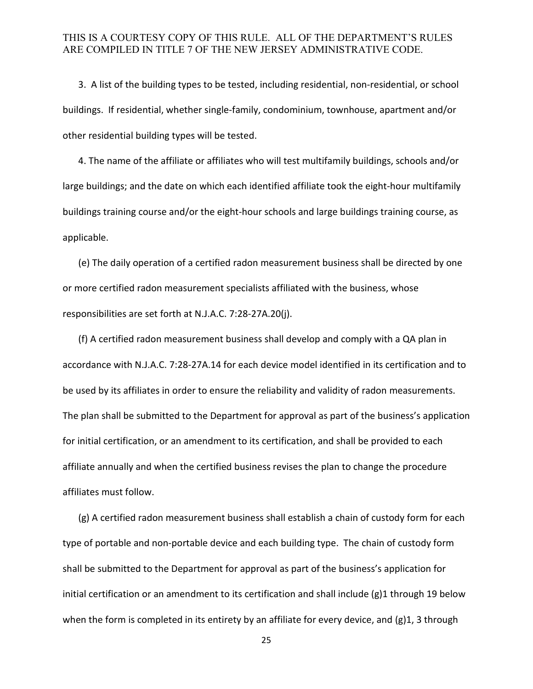3. A list of the building types to be tested, including residential, non-residential, or school buildings. If residential, whether single-family, condominium, townhouse, apartment and/or other residential building types will be tested.

4. The name of the affiliate or affiliates who will test multifamily buildings, schools and/or large buildings; and the date on which each identified affiliate took the eight-hour multifamily buildings training course and/or the eight-hour schools and large buildings training course, as applicable.

(e) The daily operation of a certified radon measurement business shall be directed by one or more certified radon measurement specialists affiliated with the business, whose responsibilities are set forth at N.J.A.C. 7:28-27A.20(j).

(f) A certified radon measurement business shall develop and comply with a QA plan in accordance with N.J.A.C. 7:28-27A.14 for each device model identified in its certification and to be used by its affiliates in order to ensure the reliability and validity of radon measurements. The plan shall be submitted to the Department for approval as part of the business's application for initial certification, or an amendment to its certification, and shall be provided to each affiliate annually and when the certified business revises the plan to change the procedure affiliates must follow.

(g) A certified radon measurement business shall establish a chain of custody form for each type of portable and non-portable device and each building type. The chain of custody form shall be submitted to the Department for approval as part of the business's application for initial certification or an amendment to its certification and shall include (g)1 through 19 below when the form is completed in its entirety by an affiliate for every device, and (g)1, 3 through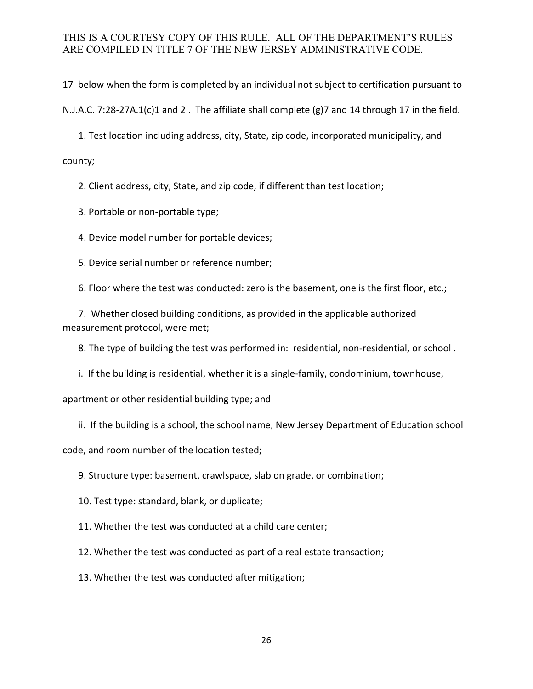17 below when the form is completed by an individual not subject to certification pursuant to

N.J.A.C. 7:28-27A.1(c)1 and 2 . The affiliate shall complete (g)7 and 14 through 17 in the field.

1. Test location including address, city, State, zip code, incorporated municipality, and

county;

2. Client address, city, State, and zip code, if different than test location;

3. Portable or non-portable type;

4. Device model number for portable devices;

5. Device serial number or reference number;

6. Floor where the test was conducted: zero is the basement, one is the first floor, etc.;

7. Whether closed building conditions, as provided in the applicable authorized measurement protocol, were met;

8. The type of building the test was performed in: residential, non-residential, or school .

i. If the building is residential, whether it is a single-family, condominium, townhouse,

apartment or other residential building type; and

ii. If the building is a school, the school name, New Jersey Department of Education school

code, and room number of the location tested;

9. Structure type: basement, crawlspace, slab on grade, or combination;

10. Test type: standard, blank, or duplicate;

11. Whether the test was conducted at a child care center;

12. Whether the test was conducted as part of a real estate transaction;

13. Whether the test was conducted after mitigation;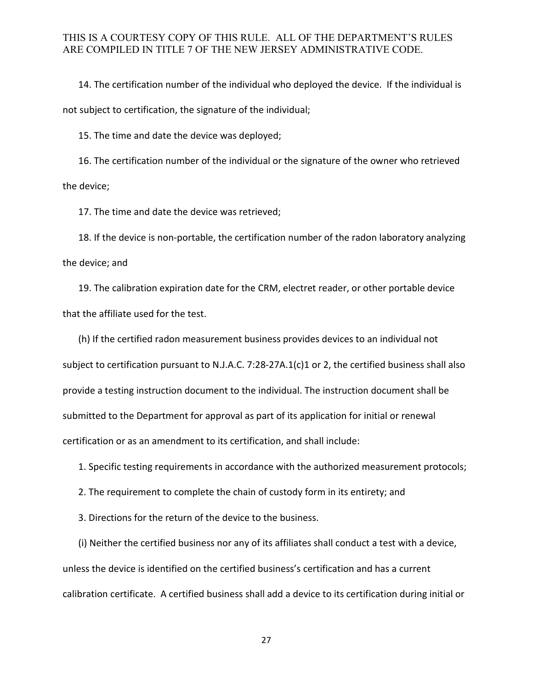14. The certification number of the individual who deployed the device. If the individual is not subject to certification, the signature of the individual;

15. The time and date the device was deployed;

16. The certification number of the individual or the signature of the owner who retrieved the device;

17. The time and date the device was retrieved;

18. If the device is non-portable, the certification number of the radon laboratory analyzing the device; and

19. The calibration expiration date for the CRM, electret reader, or other portable device that the affiliate used for the test.

(h) If the certified radon measurement business provides devices to an individual not subject to certification pursuant to N.J.A.C. 7:28-27A.1(c)1 or 2, the certified business shall also provide a testing instruction document to the individual. The instruction document shall be submitted to the Department for approval as part of its application for initial or renewal certification or as an amendment to its certification, and shall include:

1. Specific testing requirements in accordance with the authorized measurement protocols;

2. The requirement to complete the chain of custody form in its entirety; and

3. Directions for the return of the device to the business.

(i) Neither the certified business nor any of its affiliates shall conduct a test with a device, unless the device is identified on the certified business's certification and has a current calibration certificate. A certified business shall add a device to its certification during initial or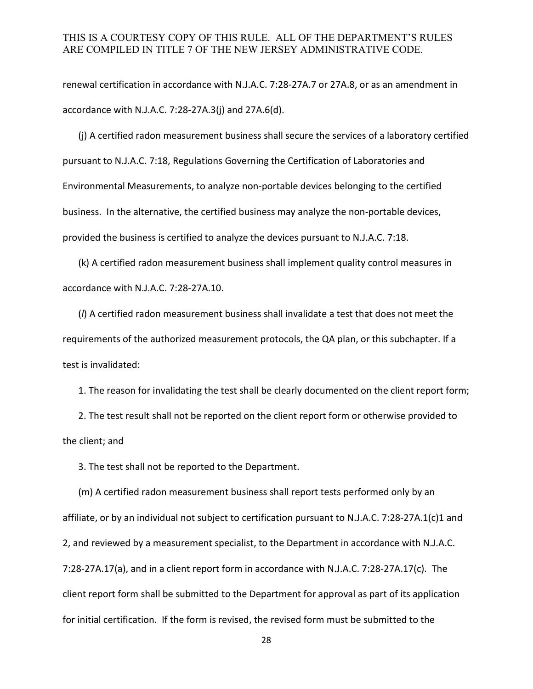renewal certification in accordance with N.J.A.C. 7:28-27A.7 or 27A.8, or as an amendment in accordance with N.J.A.C. 7:28-27A.3(j) and 27A.6(d).

(j) A certified radon measurement business shall secure the services of a laboratory certified pursuant to N.J.A.C. 7:18, Regulations Governing the Certification of Laboratories and Environmental Measurements, to analyze non-portable devices belonging to the certified business. In the alternative, the certified business may analyze the non-portable devices, provided the business is certified to analyze the devices pursuant to N.J.A.C. 7:18.

(k) A certified radon measurement business shall implement quality control measures in accordance with N.J.A.C. 7:28-27A.10.

(*l*) A certified radon measurement business shall invalidate a test that does not meet the requirements of the authorized measurement protocols, the QA plan, or this subchapter. If a test is invalidated:

1. The reason for invalidating the test shall be clearly documented on the client report form;

2. The test result shall not be reported on the client report form or otherwise provided to the client; and

3. The test shall not be reported to the Department.

(m) A certified radon measurement business shall report tests performed only by an affiliate, or by an individual not subject to certification pursuant to N.J.A.C. 7:28-27A.1(c)1 and 2, and reviewed by a measurement specialist, to the Department in accordance with N.J.A.C. 7:28-27A.17(a), and in a client report form in accordance with N.J.A.C. 7:28-27A.17(c). The client report form shall be submitted to the Department for approval as part of its application for initial certification. If the form is revised, the revised form must be submitted to the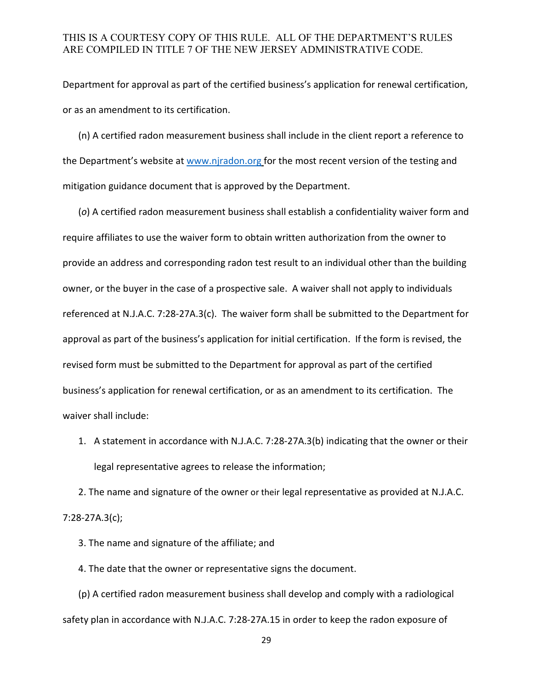Department for approval as part of the certified business's application for renewal certification, or as an amendment to its certification.

(n) A certified radon measurement business shall include in the client report a reference to the Department's website at [www.njradon.org](http://www.njradon.org/) for the most recent version of the testing and mitigation guidance document that is approved by the Department.

 (*o*) A certified radon measurement business shall establish a confidentiality waiver form and require affiliates to use the waiver form to obtain written authorization from the owner to provide an address and corresponding radon test result to an individual other than the building owner, or the buyer in the case of a prospective sale. A waiver shall not apply to individuals referenced at N.J.A.C. 7:28-27A.3(c). The waiver form shall be submitted to the Department for approval as part of the business's application for initial certification. If the form is revised, the revised form must be submitted to the Department for approval as part of the certified business's application for renewal certification, or as an amendment to its certification. The waiver shall include:

1. A statement in accordance with N.J.A.C. 7:28-27A.3(b) indicating that the owner or their legal representative agrees to release the information;

2. The name and signature of the owner or their legal representative as provided at N.J.A.C. 7:28-27A.3(c);

3. The name and signature of the affiliate; and

4. The date that the owner or representative signs the document.

(p) A certified radon measurement business shall develop and comply with a radiological safety plan in accordance with N.J.A.C. 7:28-27A.15 in order to keep the radon exposure of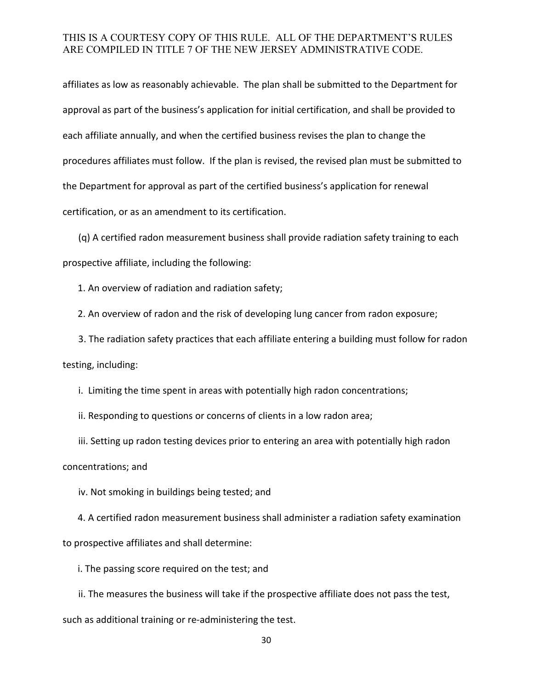affiliates as low as reasonably achievable. The plan shall be submitted to the Department for approval as part of the business's application for initial certification, and shall be provided to each affiliate annually, and when the certified business revises the plan to change the procedures affiliates must follow. If the plan is revised, the revised plan must be submitted to the Department for approval as part of the certified business's application for renewal certification, or as an amendment to its certification.

(q) A certified radon measurement business shall provide radiation safety training to each prospective affiliate, including the following:

1. An overview of radiation and radiation safety;

2. An overview of radon and the risk of developing lung cancer from radon exposure;

3. The radiation safety practices that each affiliate entering a building must follow for radon testing, including:

i. Limiting the time spent in areas with potentially high radon concentrations;

ii. Responding to questions or concerns of clients in a low radon area;

iii. Setting up radon testing devices prior to entering an area with potentially high radon concentrations; and

iv. Not smoking in buildings being tested; and

4. A certified radon measurement business shall administer a radiation safety examination to prospective affiliates and shall determine:

i. The passing score required on the test; and

ii. The measures the business will take if the prospective affiliate does not pass the test, such as additional training or re-administering the test.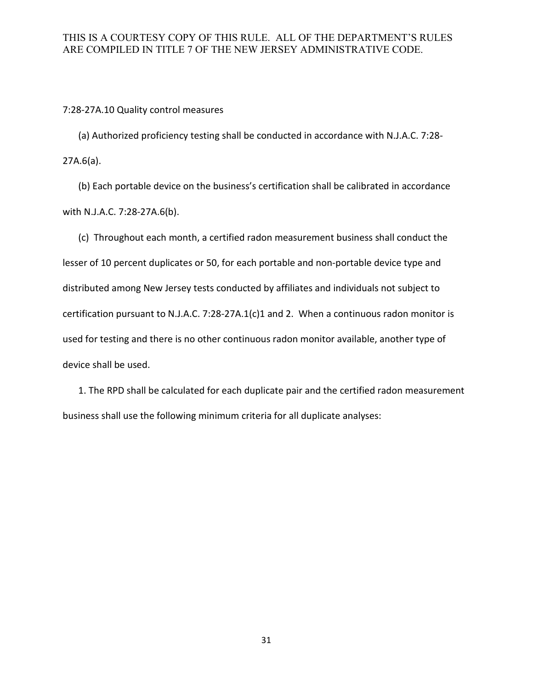#### 7:28-27A.10 Quality control measures

(a) Authorized proficiency testing shall be conducted in accordance with N.J.A.C. 7:28- 27A.6(a).

(b) Each portable device on the business's certification shall be calibrated in accordance with N.J.A.C. 7:28-27A.6(b).

(c) Throughout each month, a certified radon measurement business shall conduct the lesser of 10 percent duplicates or 50, for each portable and non-portable device type and distributed among New Jersey tests conducted by affiliates and individuals not subject to certification pursuant to N.J.A.C. 7:28-27A.1(c)1 and 2. When a continuous radon monitor is used for testing and there is no other continuous radon monitor available, another type of device shall be used.

1. The RPD shall be calculated for each duplicate pair and the certified radon measurement business shall use the following minimum criteria for all duplicate analyses: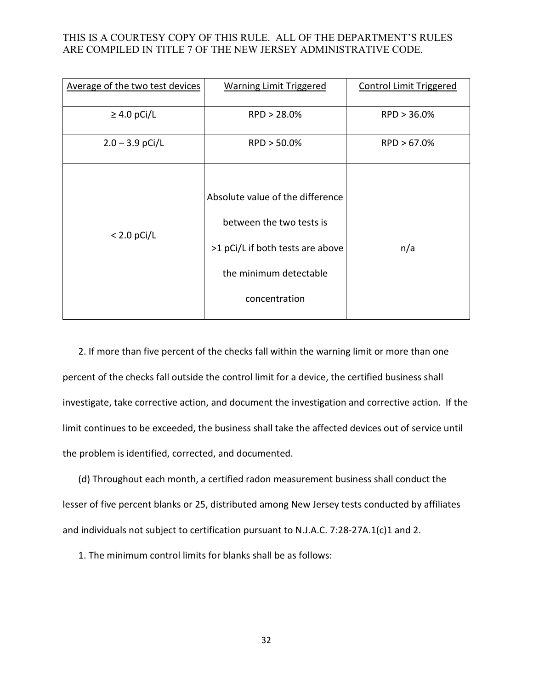| Average of the two test devices | <b>Warning Limit Triggered</b>                                                                                                              | <b>Control Limit Triggered</b> |
|---------------------------------|---------------------------------------------------------------------------------------------------------------------------------------------|--------------------------------|
| $\geq$ 4.0 pCi/L                | RPD > 28.0%                                                                                                                                 | RPD > 36.0%                    |
| $2.0 - 3.9$ pCi/L               | RPD > 50.0%                                                                                                                                 | RPD > 67.0%                    |
| $< 2.0$ pCi/L                   | Absolute value of the difference<br>between the two tests is<br>>1 pCi/L if both tests are above<br>the minimum detectable<br>concentration | n/a                            |

2. If more than five percent of the checks fall within the warning limit or more than one percent of the checks fall outside the control limit for a device, the certified business shall investigate, take corrective action, and document the investigation and corrective action. If the limit continues to be exceeded, the business shall take the affected devices out of service until the problem is identified, corrected, and documented.

(d) Throughout each month, a certified radon measurement business shall conduct the lesser of five percent blanks or 25, distributed among New Jersey tests conducted by affiliates and individuals not subject to certification pursuant to N.J.A.C. 7:28-27A.1(c)1 and 2.

1. The minimum control limits for blanks shall be as follows: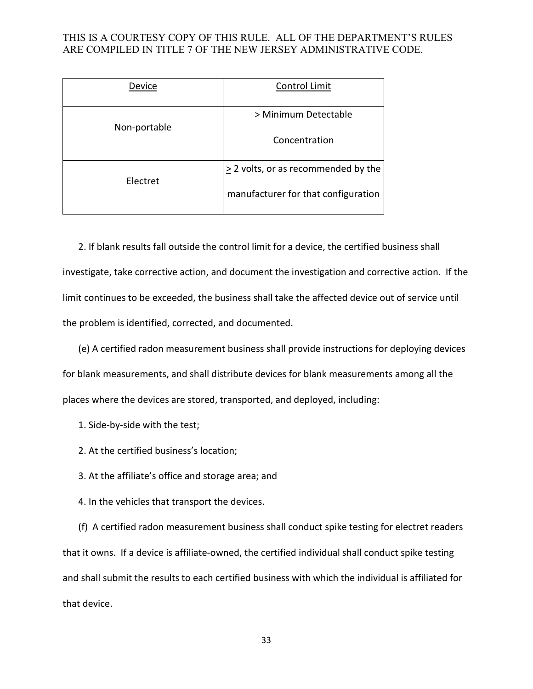| Device       | Control Limit                            |
|--------------|------------------------------------------|
| Non-portable | > Minimum Detectable                     |
|              | Concentration                            |
| Electret     | $\geq$ 2 volts, or as recommended by the |
|              | manufacturer for that configuration      |

2. If blank results fall outside the control limit for a device, the certified business shall investigate, take corrective action, and document the investigation and corrective action. If the limit continues to be exceeded, the business shall take the affected device out of service until the problem is identified, corrected, and documented.

(e) A certified radon measurement business shall provide instructions for deploying devices for blank measurements, and shall distribute devices for blank measurements among all the places where the devices are stored, transported, and deployed, including:

- 1. Side-by-side with the test;
- 2. At the certified business's location;
- 3. At the affiliate's office and storage area; and
- 4. In the vehicles that transport the devices.

(f) A certified radon measurement business shall conduct spike testing for electret readers that it owns. If a device is affiliate-owned, the certified individual shall conduct spike testing and shall submit the results to each certified business with which the individual is affiliated for that device.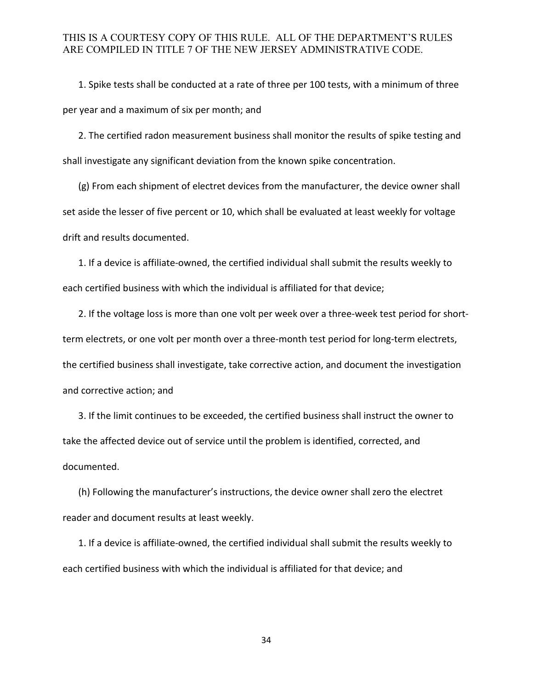1. Spike tests shall be conducted at a rate of three per 100 tests, with a minimum of three per year and a maximum of six per month; and

2. The certified radon measurement business shall monitor the results of spike testing and shall investigate any significant deviation from the known spike concentration.

(g) From each shipment of electret devices from the manufacturer, the device owner shall set aside the lesser of five percent or 10, which shall be evaluated at least weekly for voltage drift and results documented.

1. If a device is affiliate-owned, the certified individual shall submit the results weekly to each certified business with which the individual is affiliated for that device;

2. If the voltage loss is more than one volt per week over a three-week test period for shortterm electrets, or one volt per month over a three-month test period for long-term electrets, the certified business shall investigate, take corrective action, and document the investigation and corrective action; and

3. If the limit continues to be exceeded, the certified business shall instruct the owner to take the affected device out of service until the problem is identified, corrected, and documented.

(h) Following the manufacturer's instructions, the device owner shall zero the electret reader and document results at least weekly.

1. If a device is affiliate-owned, the certified individual shall submit the results weekly to each certified business with which the individual is affiliated for that device; and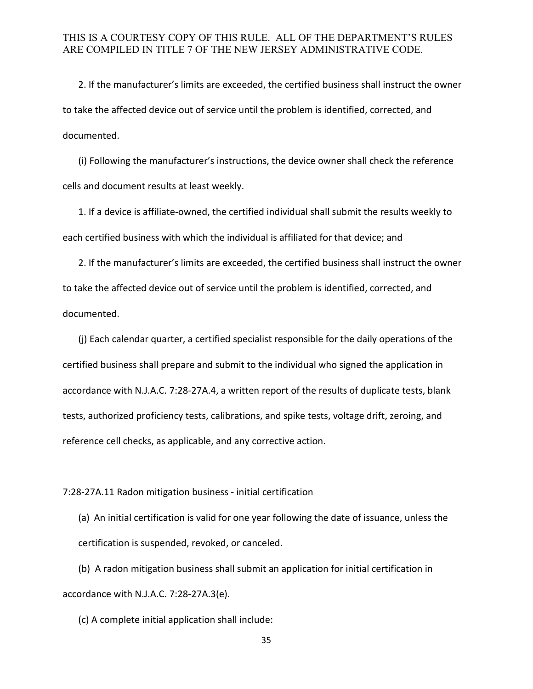2. If the manufacturer's limits are exceeded, the certified business shall instruct the owner to take the affected device out of service until the problem is identified, corrected, and documented.

 (i) Following the manufacturer's instructions, the device owner shall check the reference cells and document results at least weekly.

1. If a device is affiliate-owned, the certified individual shall submit the results weekly to each certified business with which the individual is affiliated for that device; and

2. If the manufacturer's limits are exceeded, the certified business shall instruct the owner to take the affected device out of service until the problem is identified, corrected, and documented.

(j) Each calendar quarter, a certified specialist responsible for the daily operations of the certified business shall prepare and submit to the individual who signed the application in accordance with N.J.A.C. 7:28-27A.4, a written report of the results of duplicate tests, blank tests, authorized proficiency tests, calibrations, and spike tests, voltage drift, zeroing, and reference cell checks, as applicable, and any corrective action.

#### 7:28-27A.11 Radon mitigation business - initial certification

(a) An initial certification is valid for one year following the date of issuance, unless the certification is suspended, revoked, or canceled.

(b) A radon mitigation business shall submit an application for initial certification in accordance with N.J.A.C. 7:28-27A.3(e).

(c) A complete initial application shall include: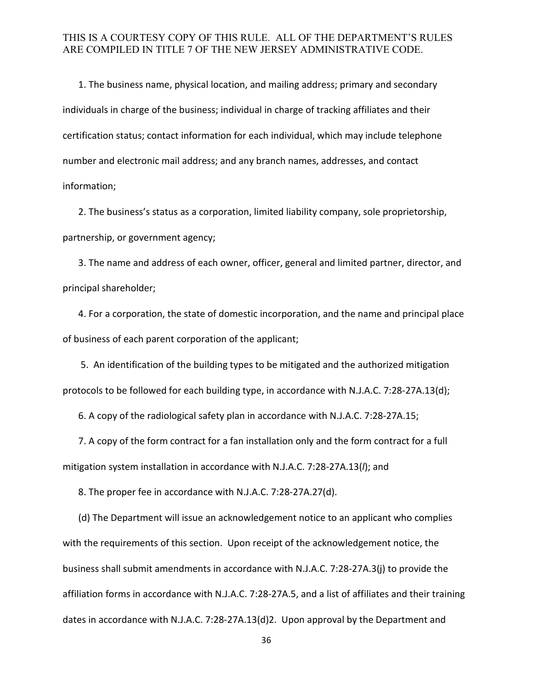1. The business name, physical location, and mailing address; primary and secondary individuals in charge of the business; individual in charge of tracking affiliates and their certification status; contact information for each individual, which may include telephone number and electronic mail address; and any branch names, addresses, and contact information;

 2. The business's status as a corporation, limited liability company, sole proprietorship, partnership, or government agency;

 3. The name and address of each owner, officer, general and limited partner, director, and principal shareholder;

 4. For a corporation, the state of domestic incorporation, and the name and principal place of business of each parent corporation of the applicant;

5. An identification of the building types to be mitigated and the authorized mitigation protocols to be followed for each building type, in accordance with N.J.A.C. 7:28-27A.13(d);

6. A copy of the radiological safety plan in accordance with N.J.A.C. 7:28-27A.15;

 7. A copy of the form contract for a fan installation only and the form contract for a full mitigation system installation in accordance with N.J.A.C. 7:28-27A.13(*l*); and

8. The proper fee in accordance with N.J.A.C. 7:28-27A.27(d).

(d) The Department will issue an acknowledgement notice to an applicant who complies with the requirements of this section. Upon receipt of the acknowledgement notice, the business shall submit amendments in accordance with N.J.A.C. 7:28-27A.3(j) to provide the affiliation forms in accordance with N.J.A.C. 7:28-27A.5, and a list of affiliates and their training dates in accordance with N.J.A.C. 7:28-27A.13(d)2. Upon approval by the Department and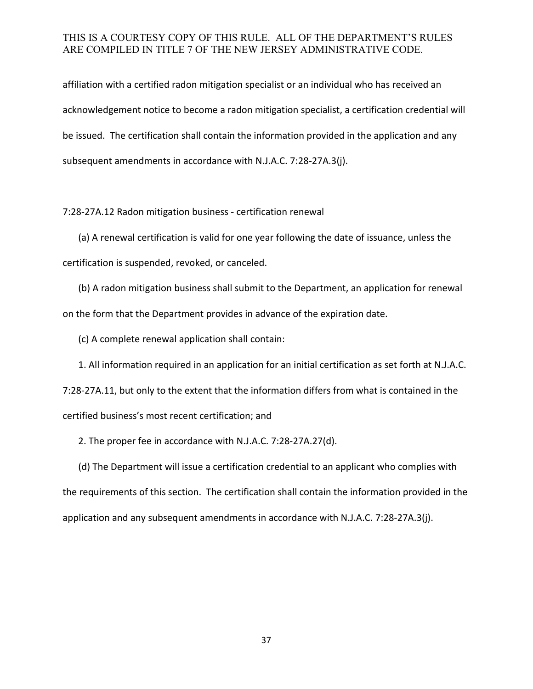affiliation with a certified radon mitigation specialist or an individual who has received an acknowledgement notice to become a radon mitigation specialist, a certification credential will be issued. The certification shall contain the information provided in the application and any subsequent amendments in accordance with N.J.A.C. 7:28-27A.3(j).

7:28-27A.12 Radon mitigation business - certification renewal

(a) A renewal certification is valid for one year following the date of issuance, unless the certification is suspended, revoked, or canceled.

(b) A radon mitigation business shall submit to the Department, an application for renewal on the form that the Department provides in advance of the expiration date.

(c) A complete renewal application shall contain:

1. All information required in an application for an initial certification as set forth at N.J.A.C. 7:28-27A.11, but only to the extent that the information differs from what is contained in the certified business's most recent certification; and

2. The proper fee in accordance with N.J.A.C. 7:28-27A.27(d).

(d) The Department will issue a certification credential to an applicant who complies with the requirements of this section. The certification shall contain the information provided in the application and any subsequent amendments in accordance with N.J.A.C. 7:28-27A.3(j).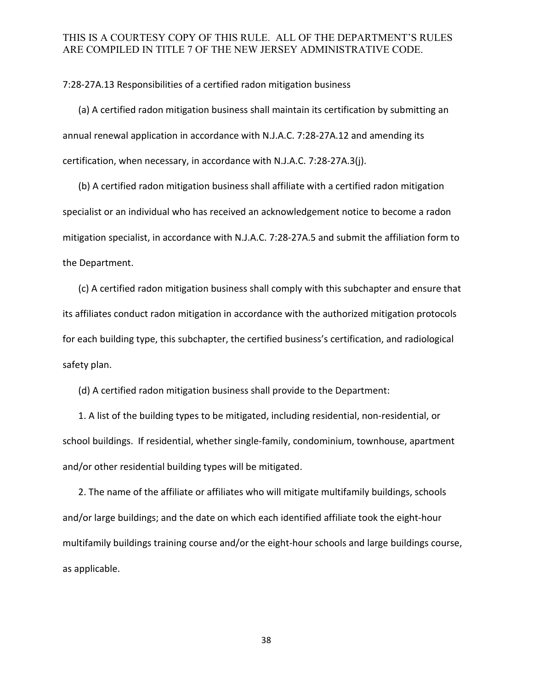7:28-27A.13 Responsibilities of a certified radon mitigation business

(a) A certified radon mitigation business shall maintain its certification by submitting an annual renewal application in accordance with N.J.A.C. 7:28-27A.12 and amending its certification, when necessary, in accordance with N.J.A.C. 7:28-27A.3(j).

(b) A certified radon mitigation business shall affiliate with a certified radon mitigation specialist or an individual who has received an acknowledgement notice to become a radon mitigation specialist, in accordance with N.J.A.C. 7:28-27A.5 and submit the affiliation form to the Department.

(c) A certified radon mitigation business shall comply with this subchapter and ensure that its affiliates conduct radon mitigation in accordance with the authorized mitigation protocols for each building type, this subchapter, the certified business's certification, and radiological safety plan.

(d) A certified radon mitigation business shall provide to the Department:

1. A list of the building types to be mitigated, including residential, non-residential, or school buildings. If residential, whether single-family, condominium, townhouse, apartment and/or other residential building types will be mitigated.

2. The name of the affiliate or affiliates who will mitigate multifamily buildings, schools and/or large buildings; and the date on which each identified affiliate took the eight-hour multifamily buildings training course and/or the eight-hour schools and large buildings course, as applicable.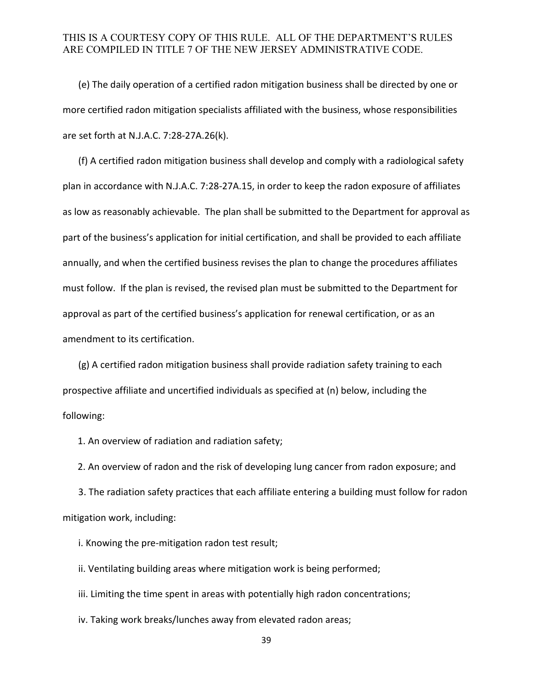(e) The daily operation of a certified radon mitigation business shall be directed by one or more certified radon mitigation specialists affiliated with the business, whose responsibilities are set forth at N.J.A.C. 7:28-27A.26(k).

(f) A certified radon mitigation business shall develop and comply with a radiological safety plan in accordance with N.J.A.C. 7:28-27A.15, in order to keep the radon exposure of affiliates as low as reasonably achievable. The plan shall be submitted to the Department for approval as part of the business's application for initial certification, and shall be provided to each affiliate annually, and when the certified business revises the plan to change the procedures affiliates must follow. If the plan is revised, the revised plan must be submitted to the Department for approval as part of the certified business's application for renewal certification, or as an amendment to its certification.

(g) A certified radon mitigation business shall provide radiation safety training to each prospective affiliate and uncertified individuals as specified at (n) below, including the following:

1. An overview of radiation and radiation safety;

2. An overview of radon and the risk of developing lung cancer from radon exposure; and

3. The radiation safety practices that each affiliate entering a building must follow for radon mitigation work, including:

i. Knowing the pre-mitigation radon test result;

ii. Ventilating building areas where mitigation work is being performed;

iii. Limiting the time spent in areas with potentially high radon concentrations;

iv. Taking work breaks/lunches away from elevated radon areas;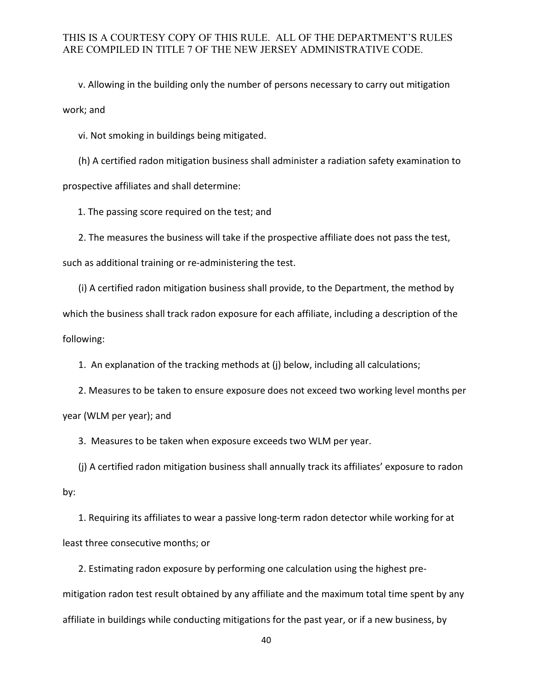v. Allowing in the building only the number of persons necessary to carry out mitigation work; and

vi. Not smoking in buildings being mitigated.

(h) A certified radon mitigation business shall administer a radiation safety examination to prospective affiliates and shall determine:

1. The passing score required on the test; and

2. The measures the business will take if the prospective affiliate does not pass the test, such as additional training or re-administering the test.

(i) A certified radon mitigation business shall provide, to the Department, the method by which the business shall track radon exposure for each affiliate, including a description of the following:

1. An explanation of the tracking methods at (j) below, including all calculations;

2. Measures to be taken to ensure exposure does not exceed two working level months per year (WLM per year); and

3. Measures to be taken when exposure exceeds two WLM per year.

(j) A certified radon mitigation business shall annually track its affiliates' exposure to radon by:

1. Requiring its affiliates to wear a passive long-term radon detector while working for at least three consecutive months; or

2. Estimating radon exposure by performing one calculation using the highest premitigation radon test result obtained by any affiliate and the maximum total time spent by any affiliate in buildings while conducting mitigations for the past year, or if a new business, by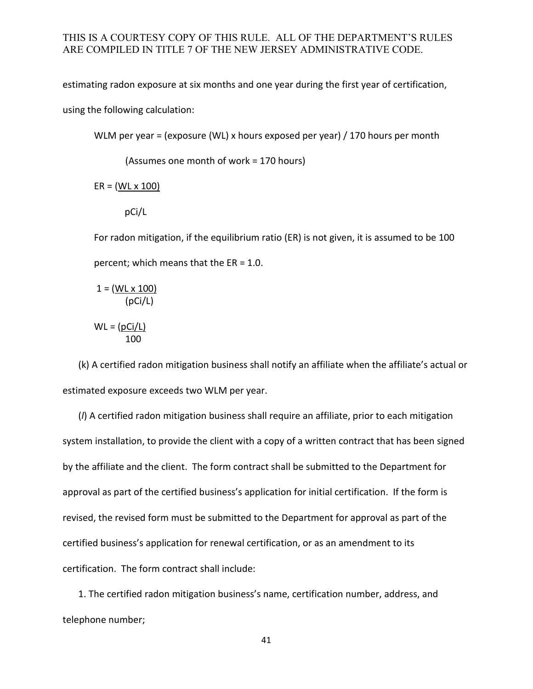estimating radon exposure at six months and one year during the first year of certification,

using the following calculation:

WLM per year = (exposure (WL) x hours exposed per year) / 170 hours per month

(Assumes one month of work = 170 hours)

 $ER = (WL \times 100)$ 

pCi/L

For radon mitigation, if the equilibrium ratio (ER) is not given, it is assumed to be 100 percent; which means that the ER = 1.0.

 $1 = (WL \times 100)$ (pCi/L)

$$
WL = (\underline{pCi/L})
$$
  
100

(k) A certified radon mitigation business shall notify an affiliate when the affiliate's actual or estimated exposure exceeds two WLM per year.

 (*l*) A certified radon mitigation business shall require an affiliate, prior to each mitigation system installation, to provide the client with a copy of a written contract that has been signed by the affiliate and the client. The form contract shall be submitted to the Department for approval as part of the certified business's application for initial certification. If the form is revised, the revised form must be submitted to the Department for approval as part of the certified business's application for renewal certification, or as an amendment to its certification. The form contract shall include:

1. The certified radon mitigation business's name, certification number, address, and telephone number;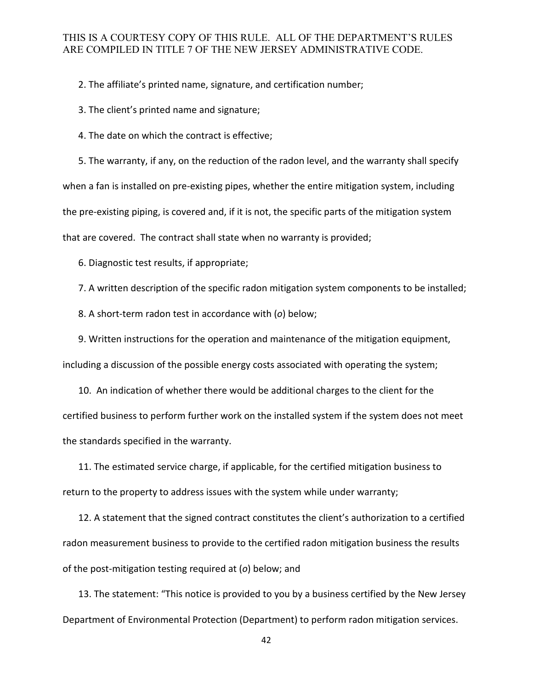2. The affiliate's printed name, signature, and certification number;

3. The client's printed name and signature;

4. The date on which the contract is effective;

5. The warranty, if any, on the reduction of the radon level, and the warranty shall specify when a fan is installed on pre-existing pipes, whether the entire mitigation system, including the pre-existing piping, is covered and, if it is not, the specific parts of the mitigation system that are covered. The contract shall state when no warranty is provided;

6. Diagnostic test results, if appropriate;

7. A written description of the specific radon mitigation system components to be installed;

8. A short-term radon test in accordance with (*o*) below;

9. Written instructions for the operation and maintenance of the mitigation equipment, including a discussion of the possible energy costs associated with operating the system;

10. An indication of whether there would be additional charges to the client for the certified business to perform further work on the installed system if the system does not meet the standards specified in the warranty.

11. The estimated service charge, if applicable, for the certified mitigation business to return to the property to address issues with the system while under warranty;

12. A statement that the signed contract constitutes the client's authorization to a certified radon measurement business to provide to the certified radon mitigation business the results of the post-mitigation testing required at (*o*) below; and

13. The statement: "This notice is provided to you by a business certified by the New Jersey Department of Environmental Protection (Department) to perform radon mitigation services.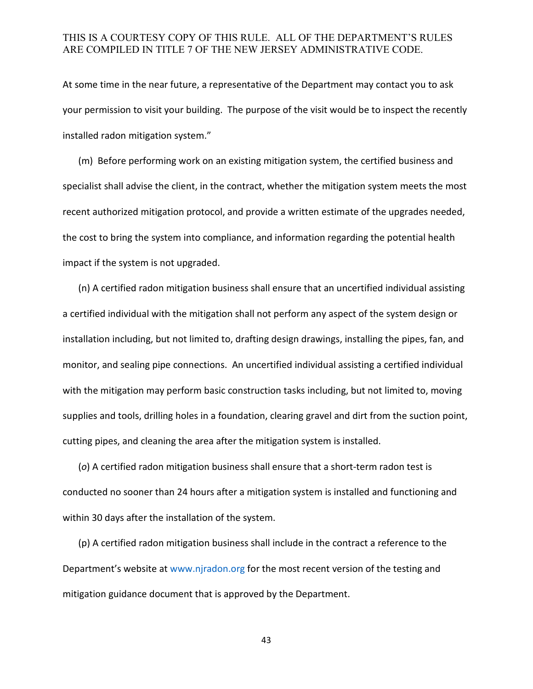At some time in the near future, a representative of the Department may contact you to ask your permission to visit your building. The purpose of the visit would be to inspect the recently installed radon mitigation system."

(m) Before performing work on an existing mitigation system, the certified business and specialist shall advise the client, in the contract, whether the mitigation system meets the most recent authorized mitigation protocol, and provide a written estimate of the upgrades needed, the cost to bring the system into compliance, and information regarding the potential health impact if the system is not upgraded.

(n) A certified radon mitigation business shall ensure that an uncertified individual assisting a certified individual with the mitigation shall not perform any aspect of the system design or installation including, but not limited to, drafting design drawings, installing the pipes, fan, and monitor, and sealing pipe connections. An uncertified individual assisting a certified individual with the mitigation may perform basic construction tasks including, but not limited to, moving supplies and tools, drilling holes in a foundation, clearing gravel and dirt from the suction point, cutting pipes, and cleaning the area after the mitigation system is installed.

(*o*) A certified radon mitigation business shall ensure that a short-term radon test is conducted no sooner than 24 hours after a mitigation system is installed and functioning and within 30 days after the installation of the system.

(p) A certified radon mitigation business shall include in the contract a reference to the Department's website at [www.njradon.org](http://www.njradon.org/) for the most recent version of the testing and mitigation guidance document that is approved by the Department.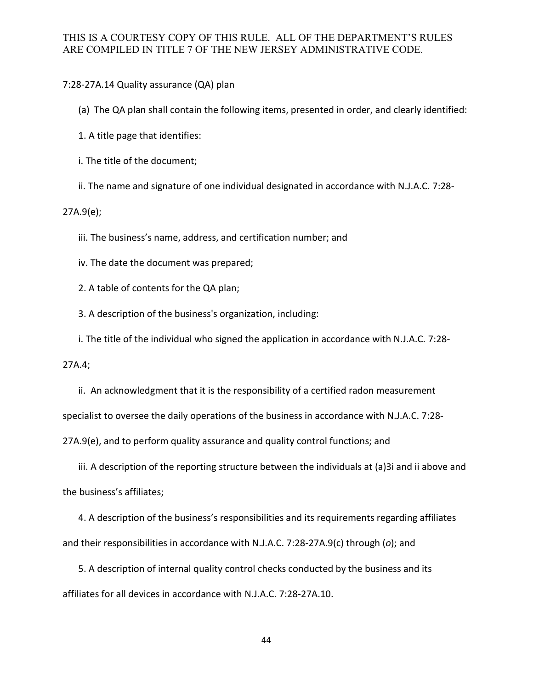7:28-27A.14 Quality assurance (QA) plan

(a) The QA plan shall contain the following items, presented in order, and clearly identified:

1. A title page that identifies:

i. The title of the document;

ii. The name and signature of one individual designated in accordance with N.J.A.C. 7:28-

27A.9(e);

iii. The business's name, address, and certification number; and

iv. The date the document was prepared;

2. A table of contents for the QA plan;

3. A description of the business's organization, including:

i. The title of the individual who signed the application in accordance with N.J.A.C. 7:28-

27A.4;

ii. An acknowledgment that it is the responsibility of a certified radon measurement specialist to oversee the daily operations of the business in accordance with N.J.A.C. 7:28- 27A.9(e), and to perform quality assurance and quality control functions; and

iii. A description of the reporting structure between the individuals at (a)3i and ii above and the business's affiliates;

4. A description of the business's responsibilities and its requirements regarding affiliates and their responsibilities in accordance with N.J.A.C. 7:28-27A.9(c) through (*o*); and

 5. A description of internal quality control checks conducted by the business and its affiliates for all devices in accordance with N.J.A.C. 7:28-27A.10.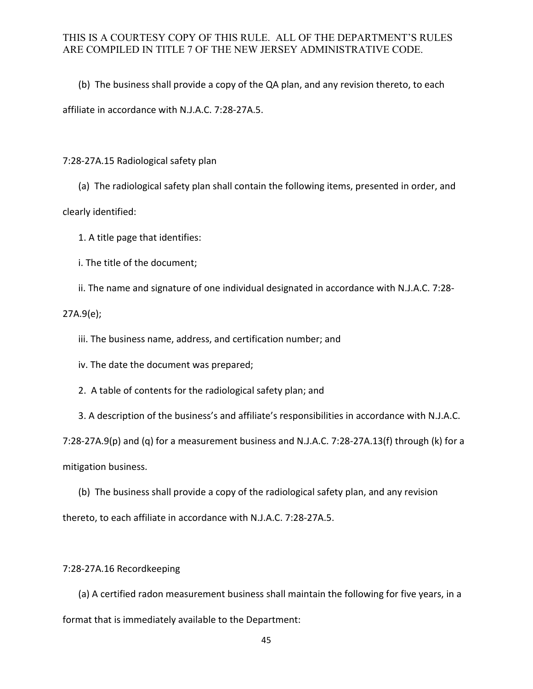(b) The business shall provide a copy of the QA plan, and any revision thereto, to each

affiliate in accordance with N.J.A.C. 7:28-27A.5.

7:28-27A.15 Radiological safety plan

(a) The radiological safety plan shall contain the following items, presented in order, and

clearly identified:

1. A title page that identifies:

i. The title of the document;

ii. The name and signature of one individual designated in accordance with N.J.A.C. 7:28-

27A.9(e);

iii. The business name, address, and certification number; and

iv. The date the document was prepared;

2. A table of contents for the radiological safety plan; and

3. A description of the business's and affiliate's responsibilities in accordance with N.J.A.C.

7:28-27A.9(p) and (q) for a measurement business and N.J.A.C. 7:28-27A.13(f) through (k) for a mitigation business.

(b) The business shall provide a copy of the radiological safety plan, and any revision

thereto, to each affiliate in accordance with N.J.A.C. 7:28-27A.5.

#### 7:28-27A.16 Recordkeeping

(a) A certified radon measurement business shall maintain the following for five years, in a format that is immediately available to the Department: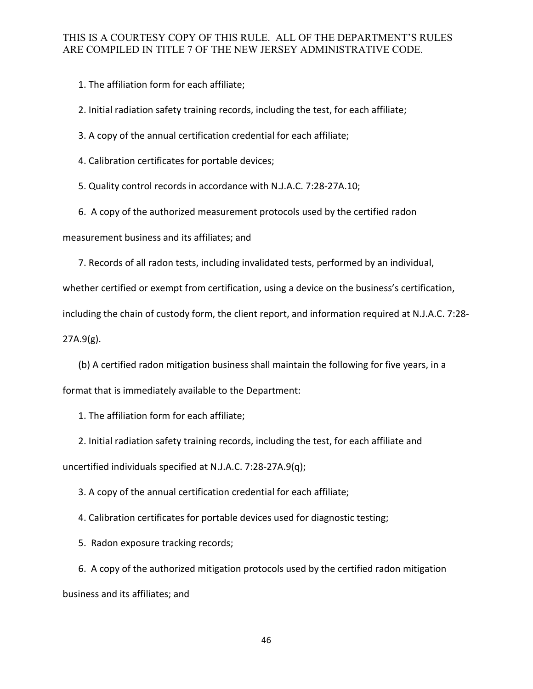1. The affiliation form for each affiliate;

2. Initial radiation safety training records, including the test, for each affiliate;

3. A copy of the annual certification credential for each affiliate;

4. Calibration certificates for portable devices;

5. Quality control records in accordance with N.J.A.C. 7:28-27A.10;

6. A copy of the authorized measurement protocols used by the certified radon

measurement business and its affiliates; and

7. Records of all radon tests, including invalidated tests, performed by an individual,

whether certified or exempt from certification, using a device on the business's certification,

including the chain of custody form, the client report, and information required at N.J.A.C. 7:28-

27A.9(g).

(b) A certified radon mitigation business shall maintain the following for five years, in a format that is immediately available to the Department:

1. The affiliation form for each affiliate;

2. Initial radiation safety training records, including the test, for each affiliate and uncertified individuals specified at N.J.A.C. 7:28-27A.9(q);

3. A copy of the annual certification credential for each affiliate;

4. Calibration certificates for portable devices used for diagnostic testing;

5. Radon exposure tracking records;

6. A copy of the authorized mitigation protocols used by the certified radon mitigation business and its affiliates; and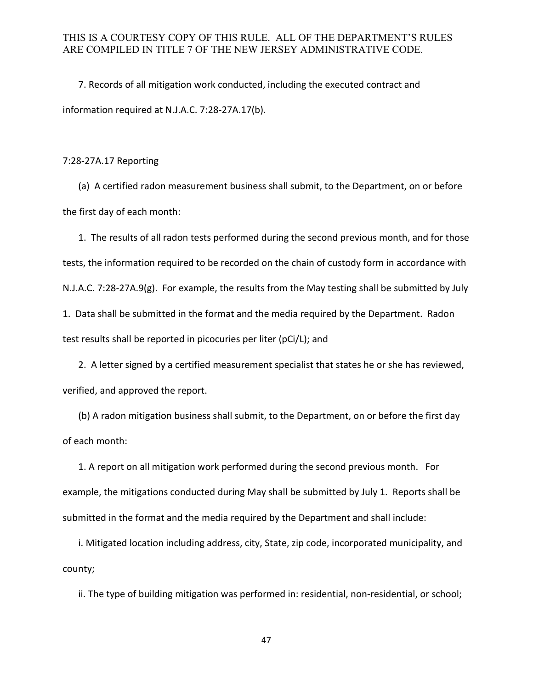7. Records of all mitigation work conducted, including the executed contract and information required at N.J.A.C. 7:28-27A.17(b).

7:28-27A.17 Reporting

(a) A certified radon measurement business shall submit, to the Department, on or before the first day of each month:

1. The results of all radon tests performed during the second previous month, and for those tests, the information required to be recorded on the chain of custody form in accordance with N.J.A.C. 7:28-27A.9(g). For example, the results from the May testing shall be submitted by July 1. Data shall be submitted in the format and the media required by the Department. Radon test results shall be reported in picocuries per liter (pCi/L); and

2. A letter signed by a certified measurement specialist that states he or she has reviewed, verified, and approved the report.

(b) A radon mitigation business shall submit, to the Department, on or before the first day of each month:

1. A report on all mitigation work performed during the second previous month. For example, the mitigations conducted during May shall be submitted by July 1. Reports shall be submitted in the format and the media required by the Department and shall include:

i. Mitigated location including address, city, State, zip code, incorporated municipality, and county;

ii. The type of building mitigation was performed in: residential, non-residential, or school;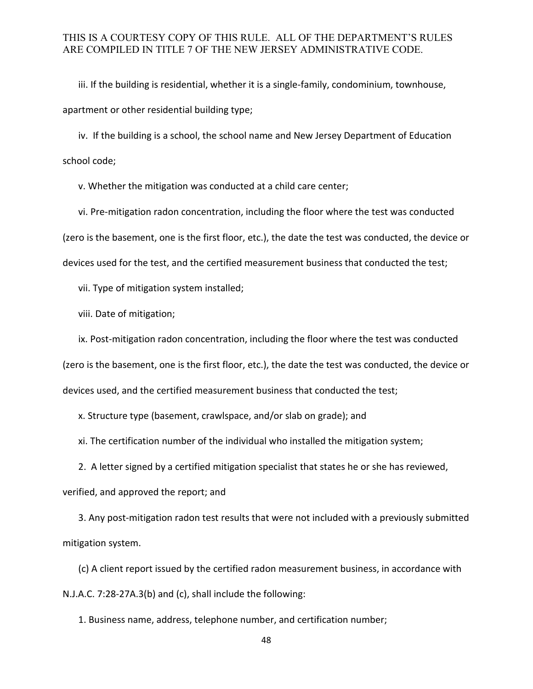iii. If the building is residential, whether it is a single-family, condominium, townhouse, apartment or other residential building type;

iv. If the building is a school, the school name and New Jersey Department of Education school code;

v. Whether the mitigation was conducted at a child care center;

vi. Pre-mitigation radon concentration, including the floor where the test was conducted (zero is the basement, one is the first floor, etc.), the date the test was conducted, the device or devices used for the test, and the certified measurement business that conducted the test;

vii. Type of mitigation system installed;

viii. Date of mitigation;

ix. Post-mitigation radon concentration, including the floor where the test was conducted (zero is the basement, one is the first floor, etc.), the date the test was conducted, the device or devices used, and the certified measurement business that conducted the test;

x. Structure type (basement, crawlspace, and/or slab on grade); and

xi. The certification number of the individual who installed the mitigation system;

2. A letter signed by a certified mitigation specialist that states he or she has reviewed,

verified, and approved the report; and

3. Any post-mitigation radon test results that were not included with a previously submitted mitigation system.

(c) A client report issued by the certified radon measurement business, in accordance with N.J.A.C. 7:28-27A.3(b) and (c), shall include the following:

1. Business name, address, telephone number, and certification number;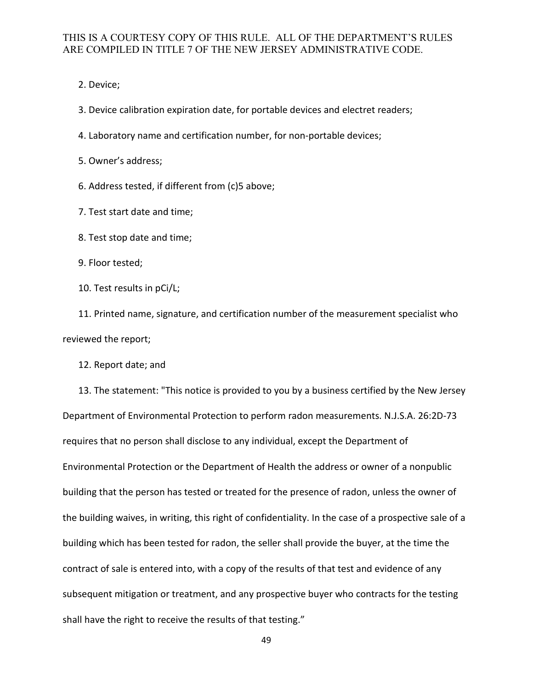2. Device;

3. Device calibration expiration date, for portable devices and electret readers;

4. Laboratory name and certification number, for non-portable devices;

5. Owner's address;

6. Address tested, if different from (c)5 above;

7. Test start date and time;

8. Test stop date and time;

9. Floor tested;

10. Test results in pCi/L;

11. Printed name, signature, and certification number of the measurement specialist who reviewed the report;

12. Report date; and

13. The statement: "This notice is provided to you by a business certified by the New Jersey Department of Environmental Protection to perform radon measurements. N.J.S.A. 26:2D-73 requires that no person shall disclose to any individual, except the Department of Environmental Protection or the Department of Health the address or owner of a nonpublic building that the person has tested or treated for the presence of radon, unless the owner of the building waives, in writing, this right of confidentiality. In the case of a prospective sale of a building which has been tested for radon, the seller shall provide the buyer, at the time the contract of sale is entered into, with a copy of the results of that test and evidence of any subsequent mitigation or treatment, and any prospective buyer who contracts for the testing shall have the right to receive the results of that testing."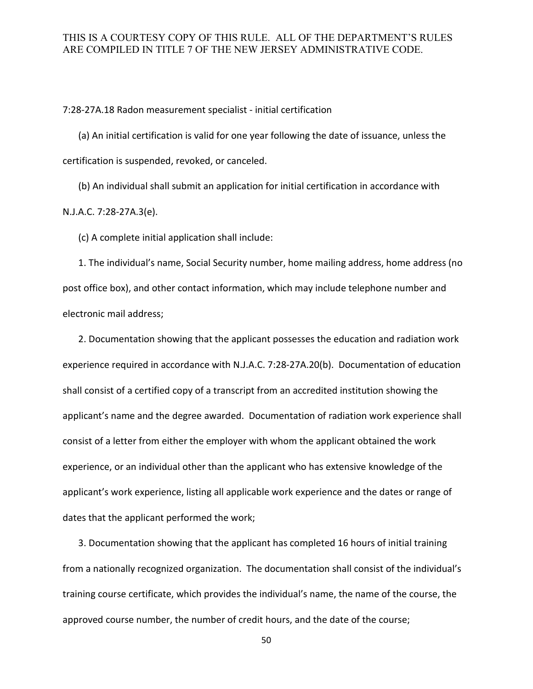7:28-27A.18 Radon measurement specialist - initial certification

(a) An initial certification is valid for one year following the date of issuance, unless the certification is suspended, revoked, or canceled.

(b) An individual shall submit an application for initial certification in accordance with N.J.A.C. 7:28-27A.3(e).

(c) A complete initial application shall include:

1. The individual's name, Social Security number, home mailing address, home address (no post office box), and other contact information, which may include telephone number and electronic mail address;

2. Documentation showing that the applicant possesses the education and radiation work experience required in accordance with N.J.A.C. 7:28-27A.20(b). Documentation of education shall consist of a certified copy of a transcript from an accredited institution showing the applicant's name and the degree awarded. Documentation of radiation work experience shall consist of a letter from either the employer with whom the applicant obtained the work experience, or an individual other than the applicant who has extensive knowledge of the applicant's work experience, listing all applicable work experience and the dates or range of dates that the applicant performed the work;

3. Documentation showing that the applicant has completed 16 hours of initial training from a nationally recognized organization. The documentation shall consist of the individual's training course certificate, which provides the individual's name, the name of the course, the approved course number, the number of credit hours, and the date of the course;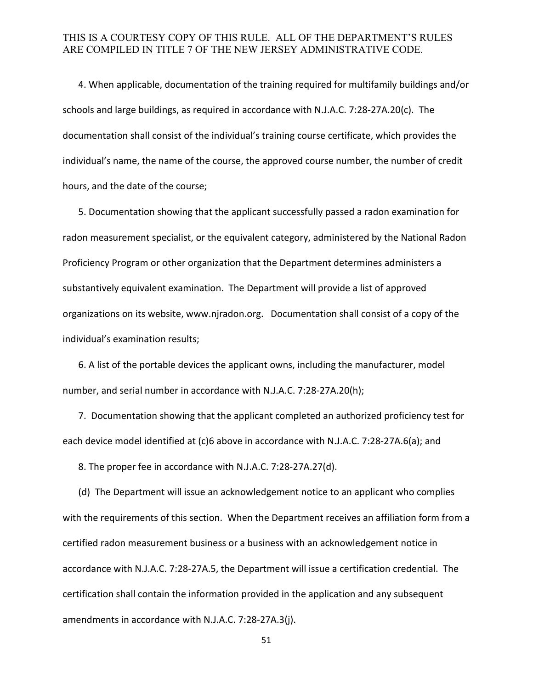4. When applicable, documentation of the training required for multifamily buildings and/or schools and large buildings, as required in accordance with N.J.A.C. 7:28-27A.20(c). The documentation shall consist of the individual's training course certificate, which provides the individual's name, the name of the course, the approved course number, the number of credit hours, and the date of the course;

5. Documentation showing that the applicant successfully passed a radon examination for radon measurement specialist, or the equivalent category, administered by the National Radon Proficiency Program or other organization that the Department determines administers a substantively equivalent examination. The Department will provide a list of approved organizations on its website, www.njradon.org. Documentation shall consist of a copy of the individual's examination results;

6. A list of the portable devices the applicant owns, including the manufacturer, model number, and serial number in accordance with N.J.A.C. 7:28-27A.20(h);

 7. Documentation showing that the applicant completed an authorized proficiency test for each device model identified at (c)6 above in accordance with N.J.A.C. 7:28-27A.6(a); and

8. The proper fee in accordance with N.J.A.C. 7:28-27A.27(d).

(d) The Department will issue an acknowledgement notice to an applicant who complies with the requirements of this section. When the Department receives an affiliation form from a certified radon measurement business or a business with an acknowledgement notice in accordance with N.J.A.C. 7:28-27A.5, the Department will issue a certification credential. The certification shall contain the information provided in the application and any subsequent amendments in accordance with N.J.A.C. 7:28-27A.3(j).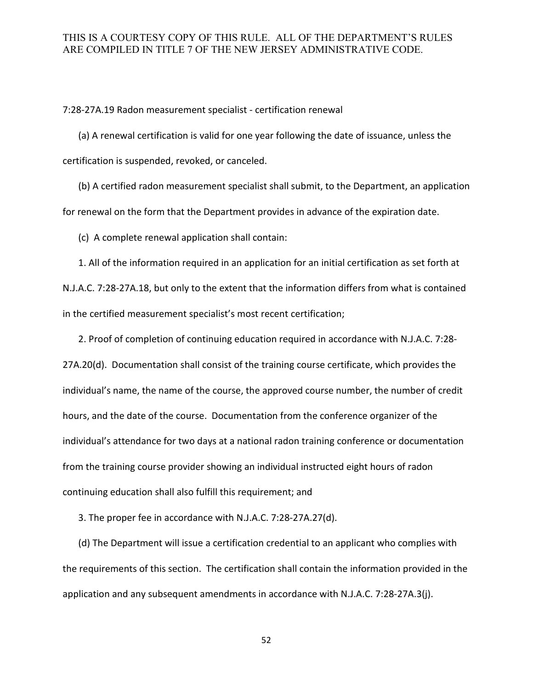7:28-27A.19 Radon measurement specialist - certification renewal

(a) A renewal certification is valid for one year following the date of issuance, unless the certification is suspended, revoked, or canceled.

(b) A certified radon measurement specialist shall submit, to the Department, an application for renewal on the form that the Department provides in advance of the expiration date.

(c) A complete renewal application shall contain:

1. All of the information required in an application for an initial certification as set forth at N.J.A.C. 7:28-27A.18, but only to the extent that the information differs from what is contained in the certified measurement specialist's most recent certification;

2. Proof of completion of continuing education required in accordance with N.J.A.C. 7:28- 27A.20(d). Documentation shall consist of the training course certificate, which provides the individual's name, the name of the course, the approved course number, the number of credit hours, and the date of the course. Documentation from the conference organizer of the individual's attendance for two days at a national radon training conference or documentation from the training course provider showing an individual instructed eight hours of radon continuing education shall also fulfill this requirement; and

3. The proper fee in accordance with N.J.A.C. 7:28-27A.27(d).

(d) The Department will issue a certification credential to an applicant who complies with the requirements of this section. The certification shall contain the information provided in the application and any subsequent amendments in accordance with N.J.A.C. 7:28-27A.3(j).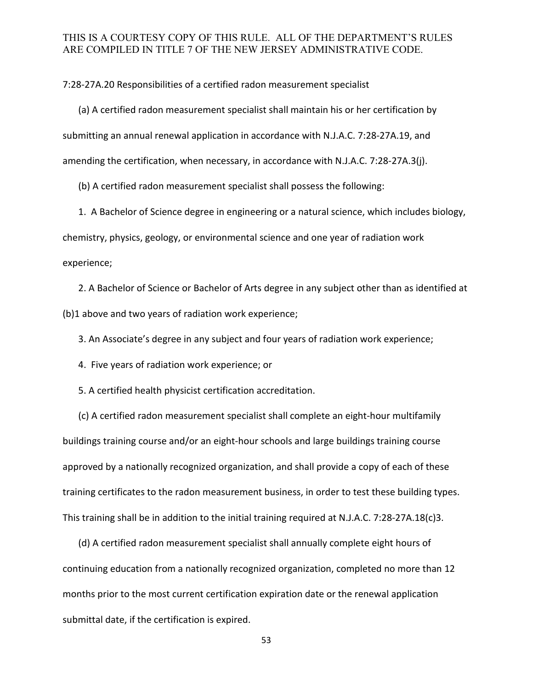7:28-27A.20 Responsibilities of a certified radon measurement specialist

(a) A certified radon measurement specialist shall maintain his or her certification by submitting an annual renewal application in accordance with N.J.A.C. 7:28-27A.19, and amending the certification, when necessary, in accordance with N.J.A.C. 7:28-27A.3(j).

(b) A certified radon measurement specialist shall possess the following:

1. A Bachelor of Science degree in engineering or a natural science, which includes biology, chemistry, physics, geology, or environmental science and one year of radiation work experience;

2. A Bachelor of Science or Bachelor of Arts degree in any subject other than as identified at (b)1 above and two years of radiation work experience;

3. An Associate's degree in any subject and four years of radiation work experience;

4. Five years of radiation work experience; or

5. A certified health physicist certification accreditation.

(c) A certified radon measurement specialist shall complete an eight-hour multifamily buildings training course and/or an eight-hour schools and large buildings training course approved by a nationally recognized organization, and shall provide a copy of each of these training certificates to the radon measurement business, in order to test these building types. This training shall be in addition to the initial training required at N.J.A.C. 7:28-27A.18(c)3.

(d) A certified radon measurement specialist shall annually complete eight hours of continuing education from a nationally recognized organization, completed no more than 12 months prior to the most current certification expiration date or the renewal application submittal date, if the certification is expired.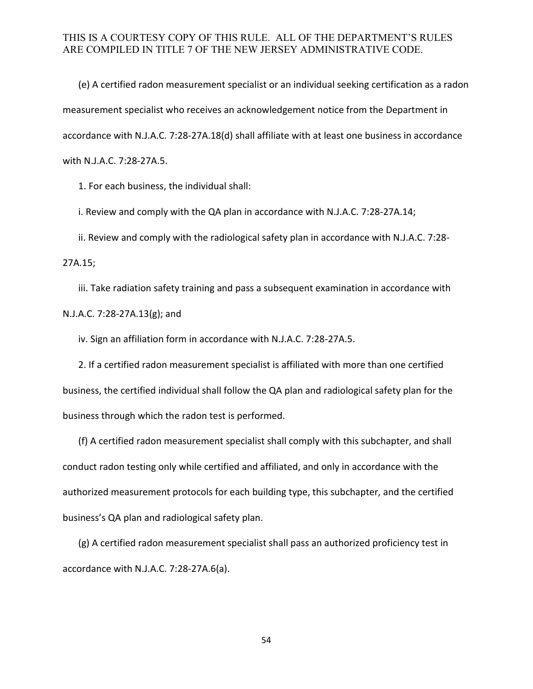(e) A certified radon measurement specialist or an individual seeking certification as a radon measurement specialist who receives an acknowledgement notice from the Department in accordance with N.J.A.C. 7:28-27A.18(d) shall affiliate with at least one business in accordance with N.J.A.C. 7:28-27A.5.

1. For each business, the individual shall:

i. Review and comply with the QA plan in accordance with N.J.A.C. 7:28-27A.14;

ii. Review and comply with the radiological safety plan in accordance with N.J.A.C. 7:28-

27A.15;

iii. Take radiation safety training and pass a subsequent examination in accordance with N.J.A.C. 7:28-27A.13(g); and

iv. Sign an affiliation form in accordance with N.J.A.C. 7:28-27A.5.

2. If a certified radon measurement specialist is affiliated with more than one certified business, the certified individual shall follow the QA plan and radiological safety plan for the business through which the radon test is performed.

(f) A certified radon measurement specialist shall comply with this subchapter, and shall conduct radon testing only while certified and affiliated, and only in accordance with the authorized measurement protocols for each building type, this subchapter, and the certified business's QA plan and radiological safety plan.

(g) A certified radon measurement specialist shall pass an authorized proficiency test in accordance with N.J.A.C. 7:28-27A.6(a).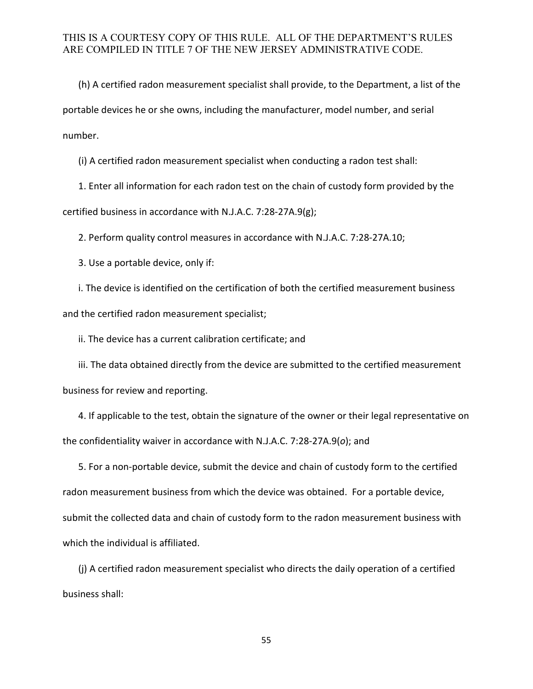(h) A certified radon measurement specialist shall provide, to the Department, a list of the portable devices he or she owns, including the manufacturer, model number, and serial number.

(i) A certified radon measurement specialist when conducting a radon test shall:

1. Enter all information for each radon test on the chain of custody form provided by the certified business in accordance with N.J.A.C. 7:28-27A.9(g);

2. Perform quality control measures in accordance with N.J.A.C. 7:28-27A.10;

3. Use a portable device, only if:

i. The device is identified on the certification of both the certified measurement business and the certified radon measurement specialist;

ii. The device has a current calibration certificate; and

iii. The data obtained directly from the device are submitted to the certified measurement business for review and reporting.

4. If applicable to the test, obtain the signature of the owner or their legal representative on the confidentiality waiver in accordance with N.J.A.C. 7:28-27A.9(*o*); and

5. For a non-portable device, submit the device and chain of custody form to the certified radon measurement business from which the device was obtained. For a portable device, submit the collected data and chain of custody form to the radon measurement business with which the individual is affiliated.

(j) A certified radon measurement specialist who directs the daily operation of a certified business shall: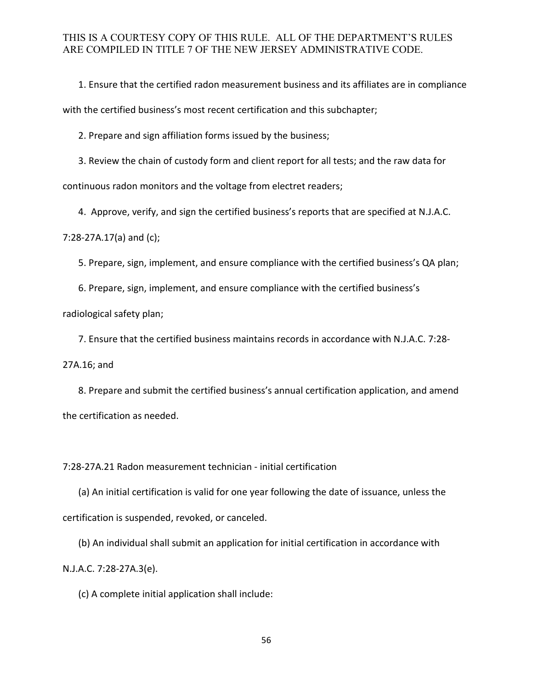1. Ensure that the certified radon measurement business and its affiliates are in compliance with the certified business's most recent certification and this subchapter;

2. Prepare and sign affiliation forms issued by the business;

3. Review the chain of custody form and client report for all tests; and the raw data for continuous radon monitors and the voltage from electret readers;

4. Approve, verify, and sign the certified business's reports that are specified at N.J.A.C.

7:28-27A.17(a) and (c);

5. Prepare, sign, implement, and ensure compliance with the certified business's QA plan;

6. Prepare, sign, implement, and ensure compliance with the certified business's

radiological safety plan;

7. Ensure that the certified business maintains records in accordance with N.J.A.C. 7:28-

27A.16; and

8. Prepare and submit the certified business's annual certification application, and amend the certification as needed.

7:28-27A.21 Radon measurement technician - initial certification

(a) An initial certification is valid for one year following the date of issuance, unless the certification is suspended, revoked, or canceled.

(b) An individual shall submit an application for initial certification in accordance with N.J.A.C. 7:28-27A.3(e).

(c) A complete initial application shall include: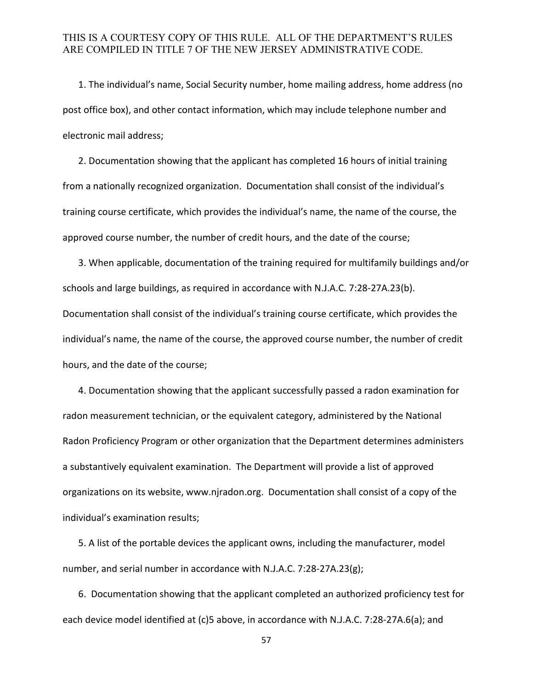1. The individual's name, Social Security number, home mailing address, home address (no post office box), and other contact information, which may include telephone number and electronic mail address;

2. Documentation showing that the applicant has completed 16 hours of initial training from a nationally recognized organization. Documentation shall consist of the individual's training course certificate, which provides the individual's name, the name of the course, the approved course number, the number of credit hours, and the date of the course;

3. When applicable, documentation of the training required for multifamily buildings and/or schools and large buildings, as required in accordance with N.J.A.C. 7:28-27A.23(b). Documentation shall consist of the individual's training course certificate, which provides the individual's name, the name of the course, the approved course number, the number of credit hours, and the date of the course;

4. Documentation showing that the applicant successfully passed a radon examination for radon measurement technician, or the equivalent category, administered by the National Radon Proficiency Program or other organization that the Department determines administers a substantively equivalent examination. The Department will provide a list of approved organizations on its website, www.njradon.org. Documentation shall consist of a copy of the individual's examination results;

5. A list of the portable devices the applicant owns, including the manufacturer, model number, and serial number in accordance with N.J.A.C. 7:28-27A.23(g);

 6. Documentation showing that the applicant completed an authorized proficiency test for each device model identified at (c)5 above, in accordance with N.J.A.C. 7:28-27A.6(a); and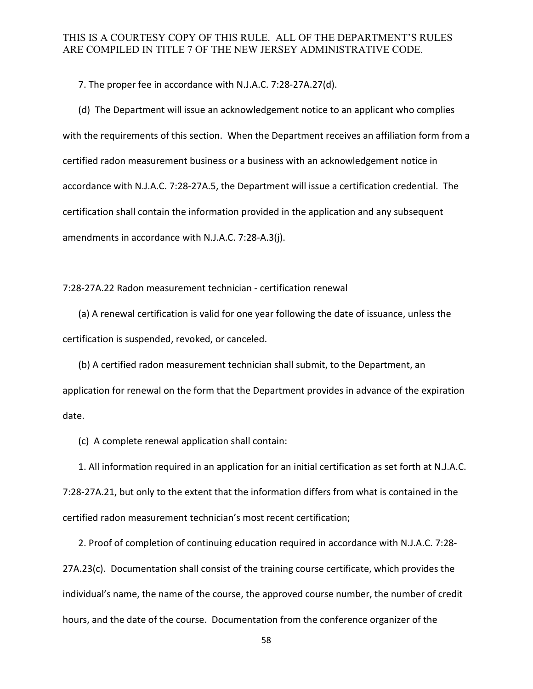7. The proper fee in accordance with N.J.A.C. 7:28-27A.27(d).

(d) The Department will issue an acknowledgement notice to an applicant who complies with the requirements of this section. When the Department receives an affiliation form from a certified radon measurement business or a business with an acknowledgement notice in accordance with N.J.A.C. 7:28-27A.5, the Department will issue a certification credential. The certification shall contain the information provided in the application and any subsequent amendments in accordance with N.J.A.C. 7:28-A.3(j).

7:28-27A.22 Radon measurement technician - certification renewal

(a) A renewal certification is valid for one year following the date of issuance, unless the certification is suspended, revoked, or canceled.

(b) A certified radon measurement technician shall submit, to the Department, an application for renewal on the form that the Department provides in advance of the expiration date.

(c) A complete renewal application shall contain:

1. All information required in an application for an initial certification as set forth at N.J.A.C. 7:28-27A.21, but only to the extent that the information differs from what is contained in the certified radon measurement technician's most recent certification;

2. Proof of completion of continuing education required in accordance with N.J.A.C. 7:28- 27A.23(c). Documentation shall consist of the training course certificate, which provides the individual's name, the name of the course, the approved course number, the number of credit hours, and the date of the course. Documentation from the conference organizer of the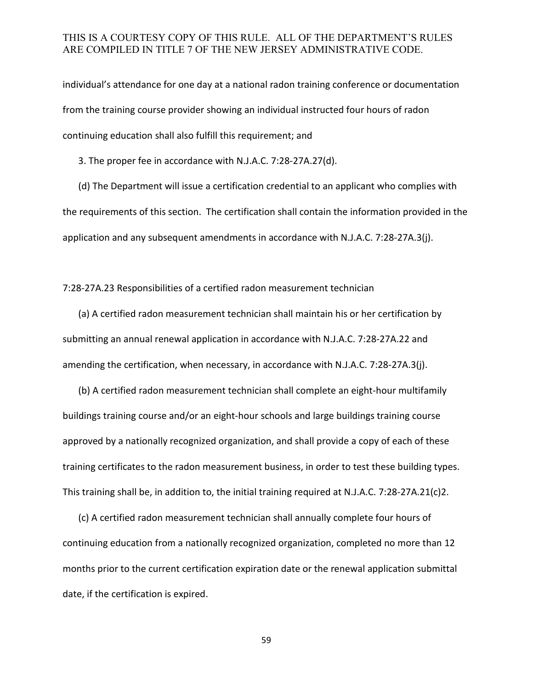individual's attendance for one day at a national radon training conference or documentation from the training course provider showing an individual instructed four hours of radon continuing education shall also fulfill this requirement; and

3. The proper fee in accordance with N.J.A.C. 7:28-27A.27(d).

(d) The Department will issue a certification credential to an applicant who complies with the requirements of this section. The certification shall contain the information provided in the application and any subsequent amendments in accordance with N.J.A.C. 7:28-27A.3(j).

7:28-27A.23 Responsibilities of a certified radon measurement technician

(a) A certified radon measurement technician shall maintain his or her certification by submitting an annual renewal application in accordance with N.J.A.C. 7:28-27A.22 and amending the certification, when necessary, in accordance with N.J.A.C. 7:28-27A.3(j).

(b) A certified radon measurement technician shall complete an eight-hour multifamily buildings training course and/or an eight-hour schools and large buildings training course approved by a nationally recognized organization, and shall provide a copy of each of these training certificates to the radon measurement business, in order to test these building types. This training shall be, in addition to, the initial training required at N.J.A.C. 7:28-27A.21(c)2.

(c) A certified radon measurement technician shall annually complete four hours of continuing education from a nationally recognized organization, completed no more than 12 months prior to the current certification expiration date or the renewal application submittal date, if the certification is expired.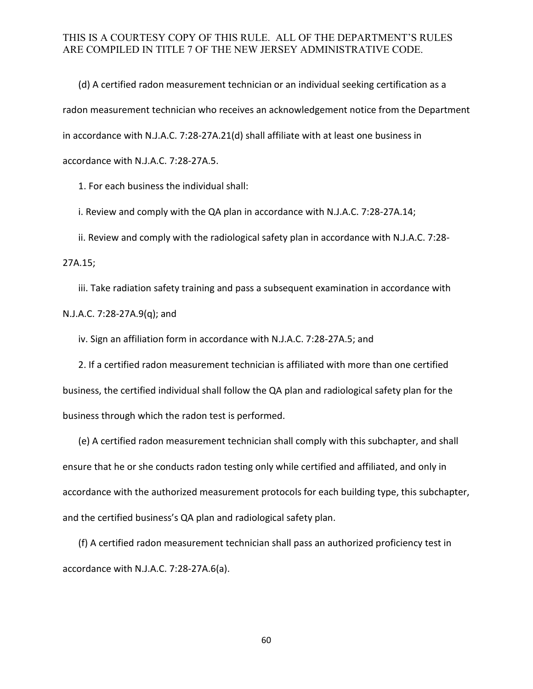(d) A certified radon measurement technician or an individual seeking certification as a radon measurement technician who receives an acknowledgement notice from the Department in accordance with N.J.A.C. 7:28-27A.21(d) shall affiliate with at least one business in accordance with N.J.A.C. 7:28-27A.5.

1. For each business the individual shall:

i. Review and comply with the QA plan in accordance with N.J.A.C. 7:28-27A.14;

ii. Review and comply with the radiological safety plan in accordance with N.J.A.C. 7:28-

27A.15;

iii. Take radiation safety training and pass a subsequent examination in accordance with N.J.A.C. 7:28-27A.9(q); and

iv. Sign an affiliation form in accordance with N.J.A.C. 7:28-27A.5; and

2. If a certified radon measurement technician is affiliated with more than one certified business, the certified individual shall follow the QA plan and radiological safety plan for the business through which the radon test is performed.

(e) A certified radon measurement technician shall comply with this subchapter, and shall ensure that he or she conducts radon testing only while certified and affiliated, and only in accordance with the authorized measurement protocols for each building type, this subchapter, and the certified business's QA plan and radiological safety plan.

(f) A certified radon measurement technician shall pass an authorized proficiency test in accordance with N.J.A.C. 7:28-27A.6(a).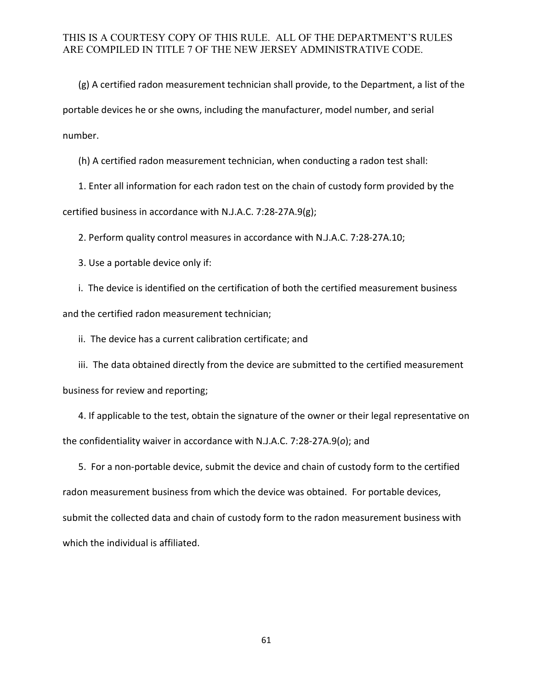(g) A certified radon measurement technician shall provide, to the Department, a list of the portable devices he or she owns, including the manufacturer, model number, and serial number.

(h) A certified radon measurement technician, when conducting a radon test shall:

1. Enter all information for each radon test on the chain of custody form provided by the certified business in accordance with N.J.A.C. 7:28-27A.9(g);

2. Perform quality control measures in accordance with N.J.A.C. 7:28-27A.10;

3. Use a portable device only if:

i. The device is identified on the certification of both the certified measurement business and the certified radon measurement technician;

ii. The device has a current calibration certificate; and

iii. The data obtained directly from the device are submitted to the certified measurement business for review and reporting;

4. If applicable to the test, obtain the signature of the owner or their legal representative on the confidentiality waiver in accordance with N.J.A.C. 7:28-27A.9(*o*); and

5. For a non-portable device, submit the device and chain of custody form to the certified radon measurement business from which the device was obtained. For portable devices, submit the collected data and chain of custody form to the radon measurement business with which the individual is affiliated.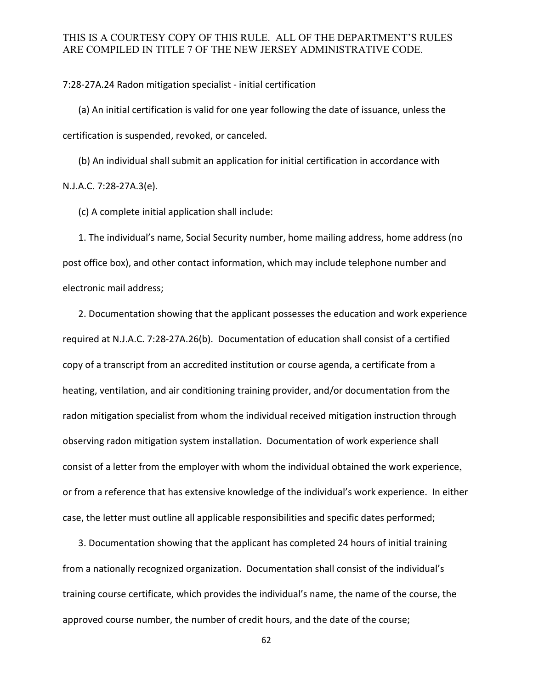7:28-27A.24 Radon mitigation specialist - initial certification

(a) An initial certification is valid for one year following the date of issuance, unless the certification is suspended, revoked, or canceled.

(b) An individual shall submit an application for initial certification in accordance with N.J.A.C. 7:28-27A.3(e).

(c) A complete initial application shall include:

1. The individual's name, Social Security number, home mailing address, home address (no post office box), and other contact information, which may include telephone number and electronic mail address;

2. Documentation showing that the applicant possesses the education and work experience required at N.J.A.C. 7:28-27A.26(b). Documentation of education shall consist of a certified copy of a transcript from an accredited institution or course agenda, a certificate from a heating, ventilation, and air conditioning training provider, and/or documentation from the radon mitigation specialist from whom the individual received mitigation instruction through observing radon mitigation system installation. Documentation of work experience shall consist of a letter from the employer with whom the individual obtained the work experience, or from a reference that has extensive knowledge of the individual's work experience. In either case, the letter must outline all applicable responsibilities and specific dates performed;

3. Documentation showing that the applicant has completed 24 hours of initial training from a nationally recognized organization. Documentation shall consist of the individual's training course certificate, which provides the individual's name, the name of the course, the approved course number, the number of credit hours, and the date of the course;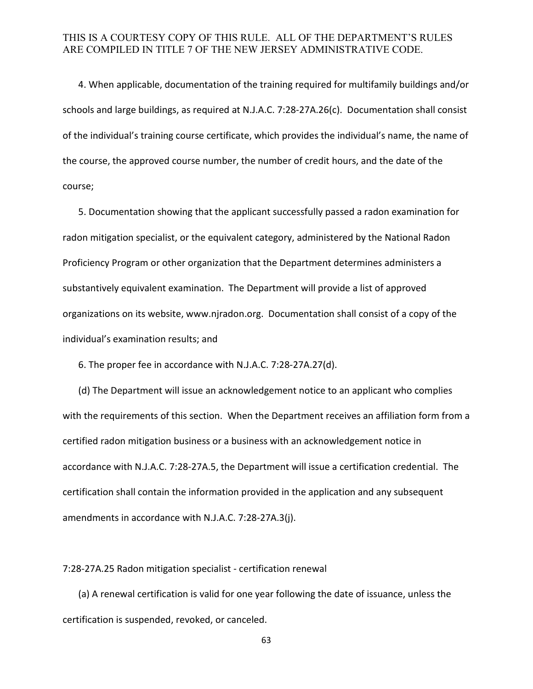4. When applicable, documentation of the training required for multifamily buildings and/or schools and large buildings, as required at N.J.A.C. 7:28-27A.26(c). Documentation shall consist of the individual's training course certificate, which provides the individual's name, the name of the course, the approved course number, the number of credit hours, and the date of the course;

5. Documentation showing that the applicant successfully passed a radon examination for radon mitigation specialist, or the equivalent category, administered by the National Radon Proficiency Program or other organization that the Department determines administers a substantively equivalent examination. The Department will provide a list of approved organizations on its website, www.njradon.org. Documentation shall consist of a copy of the individual's examination results; and

6. The proper fee in accordance with N.J.A.C. 7:28-27A.27(d).

(d) The Department will issue an acknowledgement notice to an applicant who complies with the requirements of this section. When the Department receives an affiliation form from a certified radon mitigation business or a business with an acknowledgement notice in accordance with N.J.A.C. 7:28-27A.5, the Department will issue a certification credential. The certification shall contain the information provided in the application and any subsequent amendments in accordance with N.J.A.C. 7:28-27A.3(j).

7:28-27A.25 Radon mitigation specialist - certification renewal

(a) A renewal certification is valid for one year following the date of issuance, unless the certification is suspended, revoked, or canceled.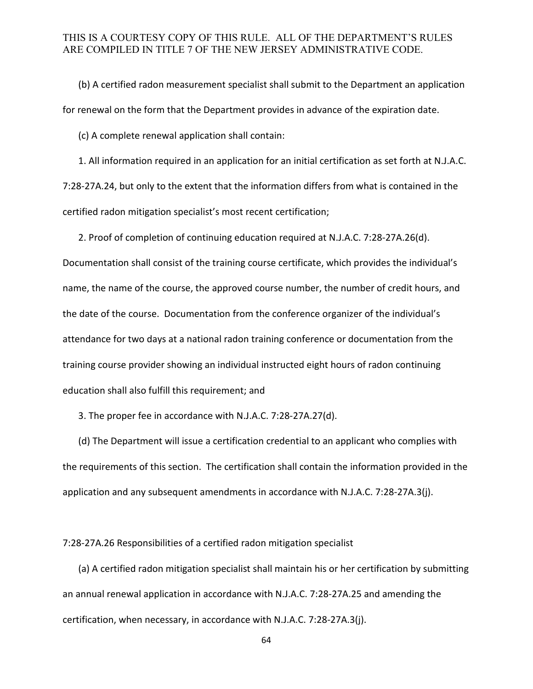(b) A certified radon measurement specialist shall submit to the Department an application for renewal on the form that the Department provides in advance of the expiration date.

(c) A complete renewal application shall contain:

1. All information required in an application for an initial certification as set forth at N.J.A.C. 7:28-27A.24, but only to the extent that the information differs from what is contained in the certified radon mitigation specialist's most recent certification;

2. Proof of completion of continuing education required at N.J.A.C. 7:28-27A.26(d).

Documentation shall consist of the training course certificate, which provides the individual's name, the name of the course, the approved course number, the number of credit hours, and the date of the course. Documentation from the conference organizer of the individual's attendance for two days at a national radon training conference or documentation from the training course provider showing an individual instructed eight hours of radon continuing education shall also fulfill this requirement; and

3. The proper fee in accordance with N.J.A.C. 7:28-27A.27(d).

(d) The Department will issue a certification credential to an applicant who complies with the requirements of this section. The certification shall contain the information provided in the application and any subsequent amendments in accordance with N.J.A.C. 7:28-27A.3(j).

7:28-27A.26 Responsibilities of a certified radon mitigation specialist

(a) A certified radon mitigation specialist shall maintain his or her certification by submitting an annual renewal application in accordance with N.J.A.C. 7:28-27A.25 and amending the certification, when necessary, in accordance with N.J.A.C. 7:28-27A.3(j).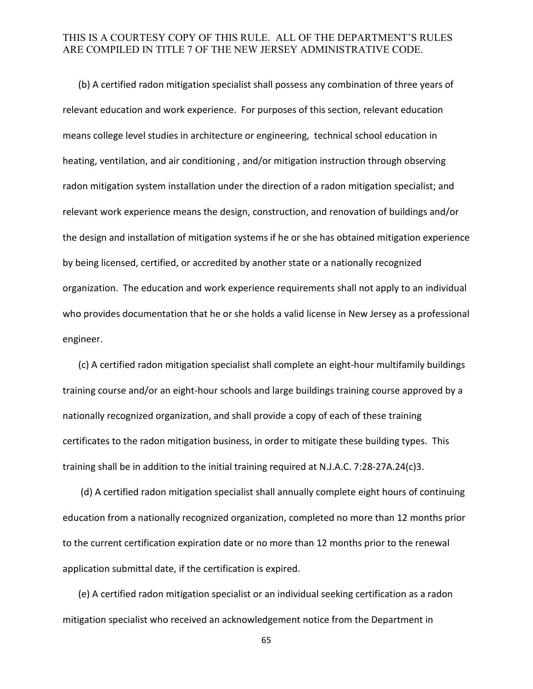(b) A certified radon mitigation specialist shall possess any combination of three years of relevant education and work experience. For purposes of this section, relevant education means college level studies in architecture or engineering, technical school education in heating, ventilation, and air conditioning , and/or mitigation instruction through observing radon mitigation system installation under the direction of a radon mitigation specialist; and relevant work experience means the design, construction, and renovation of buildings and/or the design and installation of mitigation systems if he or she has obtained mitigation experience by being licensed, certified, or accredited by another state or a nationally recognized organization. The education and work experience requirements shall not apply to an individual who provides documentation that he or she holds a valid license in New Jersey as a professional engineer.

(c) A certified radon mitigation specialist shall complete an eight-hour multifamily buildings training course and/or an eight-hour schools and large buildings training course approved by a nationally recognized organization, and shall provide a copy of each of these training certificates to the radon mitigation business, in order to mitigate these building types. This training shall be in addition to the initial training required at N.J.A.C. 7:28-27A.24(c)3.

(d) A certified radon mitigation specialist shall annually complete eight hours of continuing education from a nationally recognized organization, completed no more than 12 months prior to the current certification expiration date or no more than 12 months prior to the renewal application submittal date, if the certification is expired.

(e) A certified radon mitigation specialist or an individual seeking certification as a radon mitigation specialist who received an acknowledgement notice from the Department in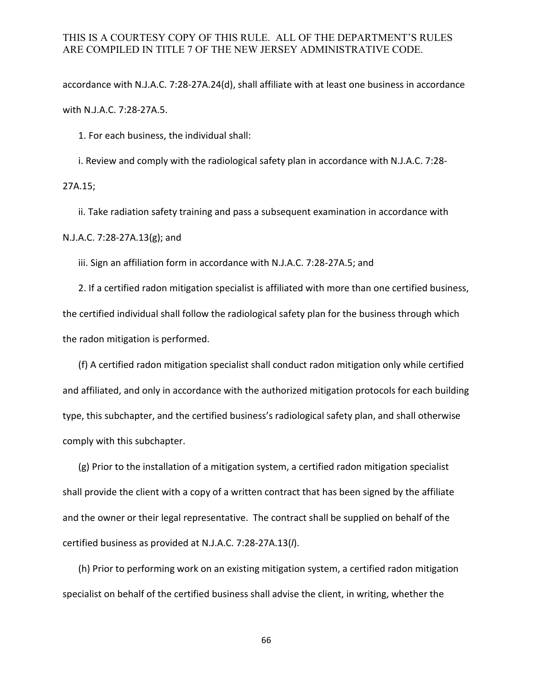accordance with N.J.A.C. 7:28-27A.24(d), shall affiliate with at least one business in accordance with N.J.A.C. 7:28-27A.5.

1. For each business, the individual shall:

i. Review and comply with the radiological safety plan in accordance with N.J.A.C. 7:28-

27A.15;

ii. Take radiation safety training and pass a subsequent examination in accordance with N.J.A.C. 7:28-27A.13(g); and

iii. Sign an affiliation form in accordance with N.J.A.C. 7:28-27A.5; and

2. If a certified radon mitigation specialist is affiliated with more than one certified business, the certified individual shall follow the radiological safety plan for the business through which the radon mitigation is performed.

(f) A certified radon mitigation specialist shall conduct radon mitigation only while certified and affiliated, and only in accordance with the authorized mitigation protocols for each building type, this subchapter, and the certified business's radiological safety plan, and shall otherwise comply with this subchapter.

(g) Prior to the installation of a mitigation system, a certified radon mitigation specialist shall provide the client with a copy of a written contract that has been signed by the affiliate and the owner or their legal representative. The contract shall be supplied on behalf of the certified business as provided at N.J.A.C. 7:28-27A.13(*l*).

(h) Prior to performing work on an existing mitigation system, a certified radon mitigation specialist on behalf of the certified business shall advise the client, in writing, whether the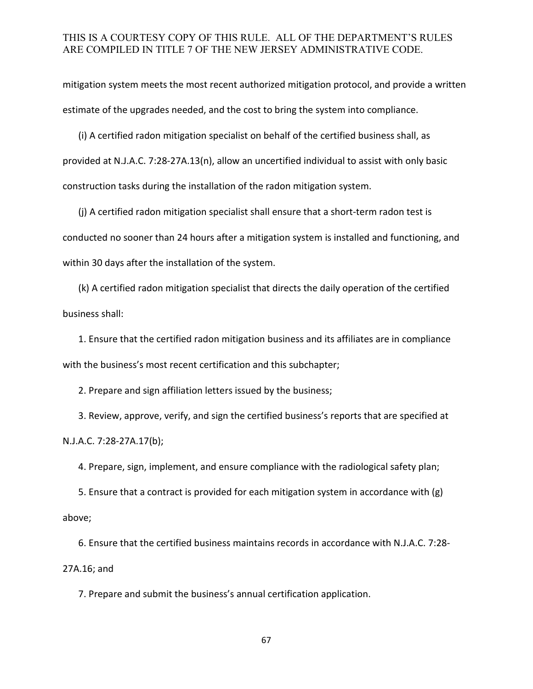mitigation system meets the most recent authorized mitigation protocol, and provide a written estimate of the upgrades needed, and the cost to bring the system into compliance.

(i) A certified radon mitigation specialist on behalf of the certified business shall, as provided at N.J.A.C. 7:28-27A.13(n), allow an uncertified individual to assist with only basic construction tasks during the installation of the radon mitigation system.

(j) A certified radon mitigation specialist shall ensure that a short-term radon test is conducted no sooner than 24 hours after a mitigation system is installed and functioning, and within 30 days after the installation of the system.

(k) A certified radon mitigation specialist that directs the daily operation of the certified business shall:

1. Ensure that the certified radon mitigation business and its affiliates are in compliance with the business's most recent certification and this subchapter;

2. Prepare and sign affiliation letters issued by the business;

3. Review, approve, verify, and sign the certified business's reports that are specified at N.J.A.C. 7:28-27A.17(b);

4. Prepare, sign, implement, and ensure compliance with the radiological safety plan;

5. Ensure that a contract is provided for each mitigation system in accordance with (g) above;

6. Ensure that the certified business maintains records in accordance with N.J.A.C. 7:28- 27A.16; and

7. Prepare and submit the business's annual certification application.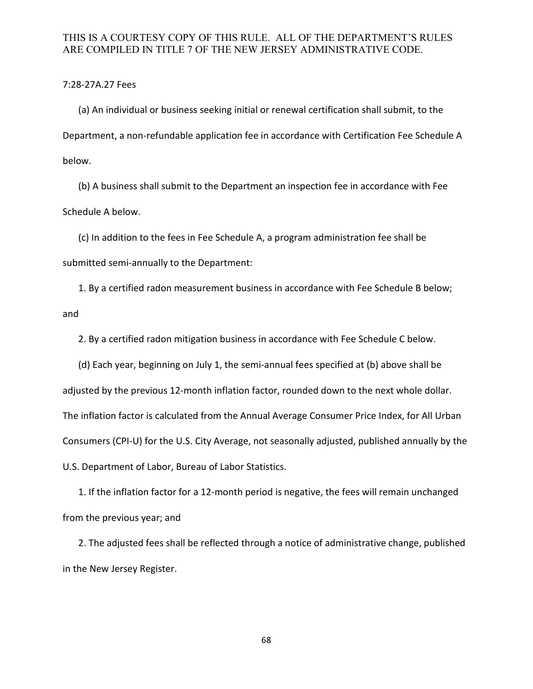#### 7:28-27A.27 Fees

(a) An individual or business seeking initial or renewal certification shall submit, to the Department, a non-refundable application fee in accordance with Certification Fee Schedule A below.

(b) A business shall submit to the Department an inspection fee in accordance with Fee Schedule A below.

(c) In addition to the fees in Fee Schedule A, a program administration fee shall be submitted semi-annually to the Department:

1. By a certified radon measurement business in accordance with Fee Schedule B below; and

2. By a certified radon mitigation business in accordance with Fee Schedule C below.

(d) Each year, beginning on July 1, the semi-annual fees specified at (b) above shall be adjusted by the previous 12-month inflation factor, rounded down to the next whole dollar. The inflation factor is calculated from the Annual Average Consumer Price Index, for All Urban Consumers (CPI-U) for the U.S. City Average, not seasonally adjusted, published annually by the U.S. Department of Labor, Bureau of Labor Statistics.

1. If the inflation factor for a 12-month period is negative, the fees will remain unchanged from the previous year; and

2. The adjusted fees shall be reflected through a notice of administrative change, published in the New Jersey Register.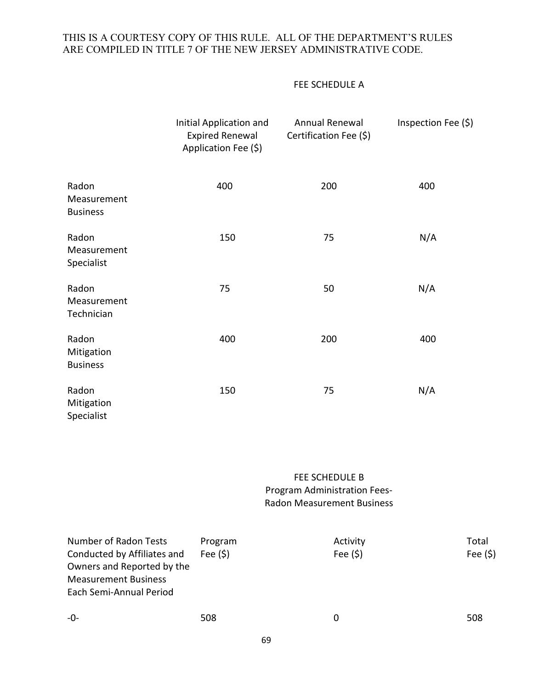#### FEE SCHEDULE A

|                                         | Initial Application and<br><b>Expired Renewal</b><br>Application Fee (\$) | Annual Renewal<br>Certification Fee (\$) | Inspection Fee (\$) |
|-----------------------------------------|---------------------------------------------------------------------------|------------------------------------------|---------------------|
| Radon<br>Measurement<br><b>Business</b> | 400                                                                       | 200                                      | 400                 |
| Radon<br>Measurement<br>Specialist      | 150                                                                       | 75                                       | N/A                 |
| Radon<br>Measurement<br>Technician      | 75                                                                        | 50                                       | N/A                 |
| Radon<br>Mitigation<br><b>Business</b>  | 400                                                                       | 200                                      | 400                 |
| Radon<br>Mitigation<br>Specialist       | 150                                                                       | 75                                       | N/A                 |

# FEE SCHEDULE B Program Administration Fees-Radon Measurement Business

| Number of Radon Tests<br>Conducted by Affiliates and<br>Owners and Reported by the<br><b>Measurement Business</b><br>Each Semi-Annual Period | Program<br>Fee $(5)$ | Activity<br>Fee $(5)$ | Total<br>Fee $(5)$ |
|----------------------------------------------------------------------------------------------------------------------------------------------|----------------------|-----------------------|--------------------|
| $-0-$                                                                                                                                        | 508                  | 0                     | 508                |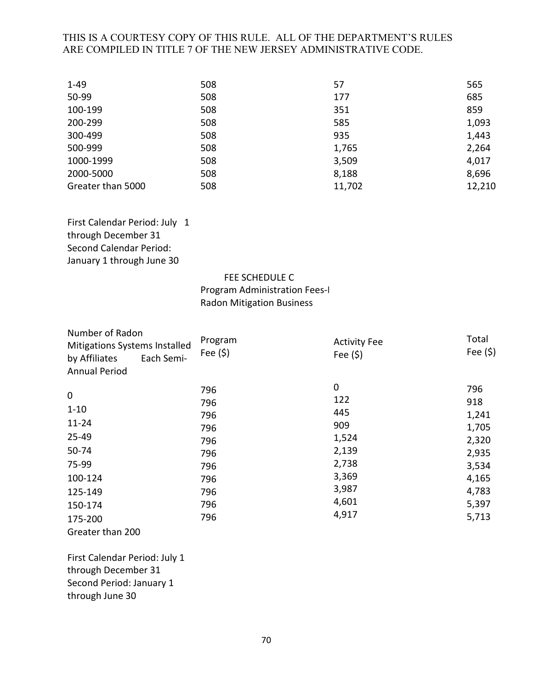| $1 - 49$          | 508 | 57     | 565    |
|-------------------|-----|--------|--------|
| 50-99             | 508 | 177    | 685    |
| 100-199           | 508 | 351    | 859    |
| 200-299           | 508 | 585    | 1,093  |
| 300-499           | 508 | 935    | 1,443  |
| 500-999           | 508 | 1,765  | 2,264  |
| 1000-1999         | 508 | 3,509  | 4,017  |
| 2000-5000         | 508 | 8,188  | 8,696  |
| Greater than 5000 | 508 | 11,702 | 12,210 |

First Calendar Period: July 1 through December 31 Second Calendar Period: January 1 through June 30

#### FEE SCHEDULE C

Program Administration Fees-I Radon Mitigation Business

| Number of Radon<br><b>Mitigations Systems Installed</b> |            | Program   | <b>Activity Fee</b> | Total       |
|---------------------------------------------------------|------------|-----------|---------------------|-------------|
| by Affiliates                                           | Each Semi- | Fee $(5)$ | Fee $(5)$           | Fee $(\xi)$ |
| <b>Annual Period</b>                                    |            |           |                     |             |
|                                                         |            | 796       | 0                   | 796         |
| 0                                                       |            | 796       | 122                 | 918         |
| $1 - 10$                                                |            | 796       | 445                 | 1,241       |
| $11 - 24$                                               |            | 796       | 909                 | 1,705       |
| 25-49                                                   |            | 796       | 1,524               | 2,320       |
| 50-74                                                   |            | 796       | 2,139               | 2,935       |
| 75-99                                                   |            | 796       | 2,738               | 3,534       |
| 100-124                                                 |            | 796       | 3,369               | 4,165       |
| 125-149                                                 |            | 796       | 3,987               | 4,783       |
| 150-174                                                 |            | 796       | 4,601               | 5,397       |
| 175-200                                                 |            | 796       | 4,917               | 5,713       |
| Greater than 200                                        |            |           |                     |             |

First Calendar Period: July 1 through December 31 Second Period: January 1 through June 30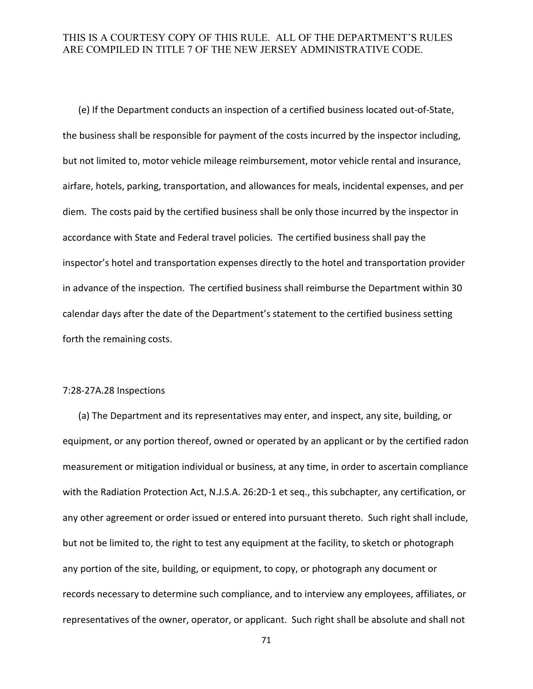(e) If the Department conducts an inspection of a certified business located out-of-State, the business shall be responsible for payment of the costs incurred by the inspector including, but not limited to, motor vehicle mileage reimbursement, motor vehicle rental and insurance, airfare, hotels, parking, transportation, and allowances for meals, incidental expenses, and per diem. The costs paid by the certified business shall be only those incurred by the inspector in accordance with State and Federal travel policies. The certified business shall pay the inspector's hotel and transportation expenses directly to the hotel and transportation provider in advance of the inspection. The certified business shall reimburse the Department within 30 calendar days after the date of the Department's statement to the certified business setting forth the remaining costs.

#### 7:28-27A.28 Inspections

(a) The Department and its representatives may enter, and inspect, any site, building, or equipment, or any portion thereof, owned or operated by an applicant or by the certified radon measurement or mitigation individual or business, at any time, in order to ascertain compliance with the Radiation Protection Act, N.J.S.A. 26:2D-1 et seq., this subchapter, any certification, or any other agreement or order issued or entered into pursuant thereto. Such right shall include, but not be limited to, the right to test any equipment at the facility, to sketch or photograph any portion of the site, building, or equipment, to copy, or photograph any document or records necessary to determine such compliance, and to interview any employees, affiliates, or representatives of the owner, operator, or applicant. Such right shall be absolute and shall not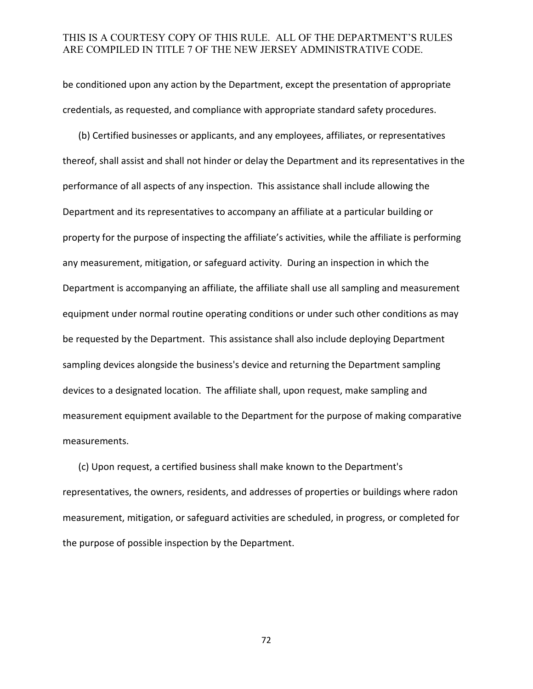be conditioned upon any action by the Department, except the presentation of appropriate credentials, as requested, and compliance with appropriate standard safety procedures.

(b) Certified businesses or applicants, and any employees, affiliates, or representatives thereof, shall assist and shall not hinder or delay the Department and its representatives in the performance of all aspects of any inspection. This assistance shall include allowing the Department and its representatives to accompany an affiliate at a particular building or property for the purpose of inspecting the affiliate's activities, while the affiliate is performing any measurement, mitigation, or safeguard activity. During an inspection in which the Department is accompanying an affiliate, the affiliate shall use all sampling and measurement equipment under normal routine operating conditions or under such other conditions as may be requested by the Department. This assistance shall also include deploying Department sampling devices alongside the business's device and returning the Department sampling devices to a designated location. The affiliate shall, upon request, make sampling and measurement equipment available to the Department for the purpose of making comparative measurements.

(c) Upon request, a certified business shall make known to the Department's representatives, the owners, residents, and addresses of properties or buildings where radon measurement, mitigation, or safeguard activities are scheduled, in progress, or completed for the purpose of possible inspection by the Department.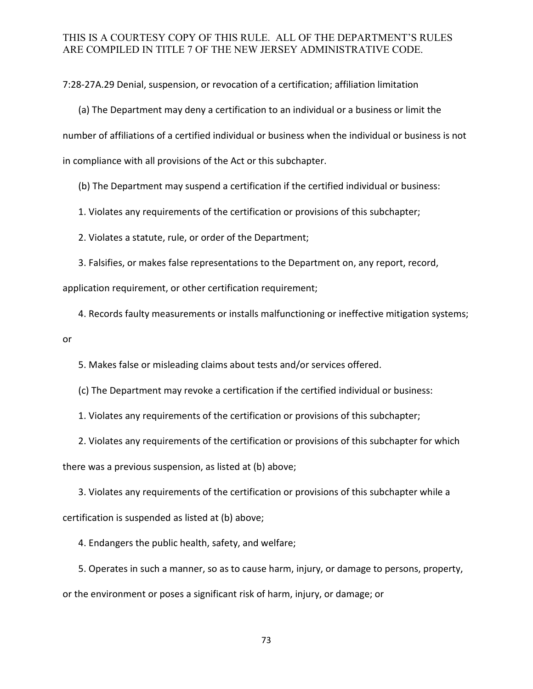7:28-27A.29 Denial, suspension, or revocation of a certification; affiliation limitation

(a) The Department may deny a certification to an individual or a business or limit the number of affiliations of a certified individual or business when the individual or business is not in compliance with all provisions of the Act or this subchapter.

(b) The Department may suspend a certification if the certified individual or business:

1. Violates any requirements of the certification or provisions of this subchapter;

2. Violates a statute, rule, or order of the Department;

3. Falsifies, or makes false representations to the Department on, any report, record, application requirement, or other certification requirement;

4. Records faulty measurements or installs malfunctioning or ineffective mitigation systems; or

5. Makes false or misleading claims about tests and/or services offered.

(c) The Department may revoke a certification if the certified individual or business:

1. Violates any requirements of the certification or provisions of this subchapter;

2. Violates any requirements of the certification or provisions of this subchapter for which there was a previous suspension, as listed at (b) above;

3. Violates any requirements of the certification or provisions of this subchapter while a certification is suspended as listed at (b) above;

4. Endangers the public health, safety, and welfare;

5. Operates in such a manner, so as to cause harm, injury, or damage to persons, property, or the environment or poses a significant risk of harm, injury, or damage; or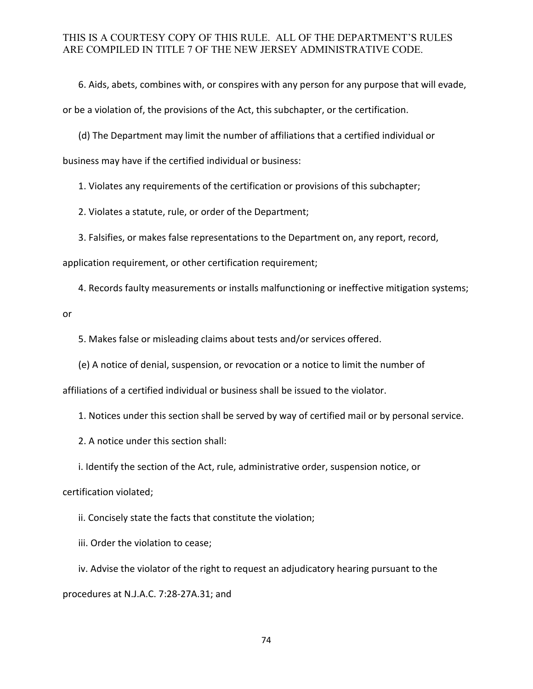6. Aids, abets, combines with, or conspires with any person for any purpose that will evade,

or be a violation of, the provisions of the Act, this subchapter, or the certification.

(d) The Department may limit the number of affiliations that a certified individual or

business may have if the certified individual or business:

1. Violates any requirements of the certification or provisions of this subchapter;

2. Violates a statute, rule, or order of the Department;

3. Falsifies, or makes false representations to the Department on, any report, record,

application requirement, or other certification requirement;

4. Records faulty measurements or installs malfunctioning or ineffective mitigation systems;

or

5. Makes false or misleading claims about tests and/or services offered.

(e) A notice of denial, suspension, or revocation or a notice to limit the number of

affiliations of a certified individual or business shall be issued to the violator.

1. Notices under this section shall be served by way of certified mail or by personal service.

2. A notice under this section shall:

i. Identify the section of the Act, rule, administrative order, suspension notice, or

certification violated;

ii. Concisely state the facts that constitute the violation;

iii. Order the violation to cease;

iv. Advise the violator of the right to request an adjudicatory hearing pursuant to the procedures at N.J.A.C. 7:28-27A.31; and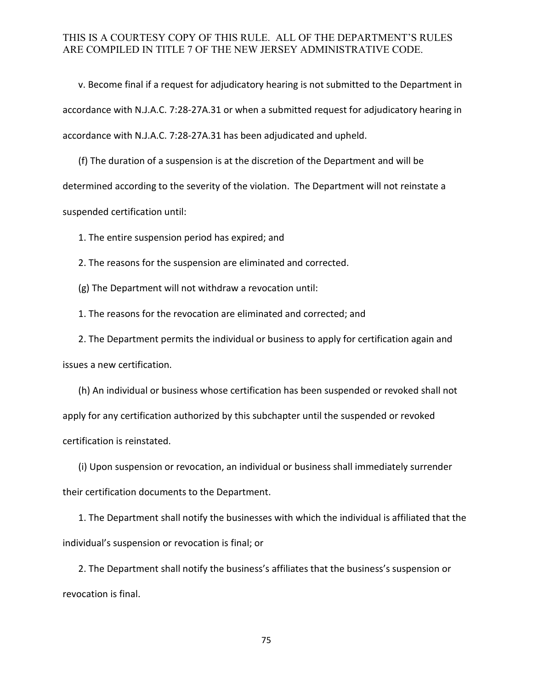v. Become final if a request for adjudicatory hearing is not submitted to the Department in accordance with N.J.A.C. 7:28-27A.31 or when a submitted request for adjudicatory hearing in accordance with N.J.A.C. 7:28-27A.31 has been adjudicated and upheld.

(f) The duration of a suspension is at the discretion of the Department and will be determined according to the severity of the violation. The Department will not reinstate a suspended certification until:

1. The entire suspension period has expired; and

2. The reasons for the suspension are eliminated and corrected.

(g) The Department will not withdraw a revocation until:

1. The reasons for the revocation are eliminated and corrected; and

2. The Department permits the individual or business to apply for certification again and issues a new certification.

(h) An individual or business whose certification has been suspended or revoked shall not apply for any certification authorized by this subchapter until the suspended or revoked certification is reinstated.

(i) Upon suspension or revocation, an individual or business shall immediately surrender their certification documents to the Department.

1. The Department shall notify the businesses with which the individual is affiliated that the individual's suspension or revocation is final; or

2. The Department shall notify the business's affiliates that the business's suspension or revocation is final.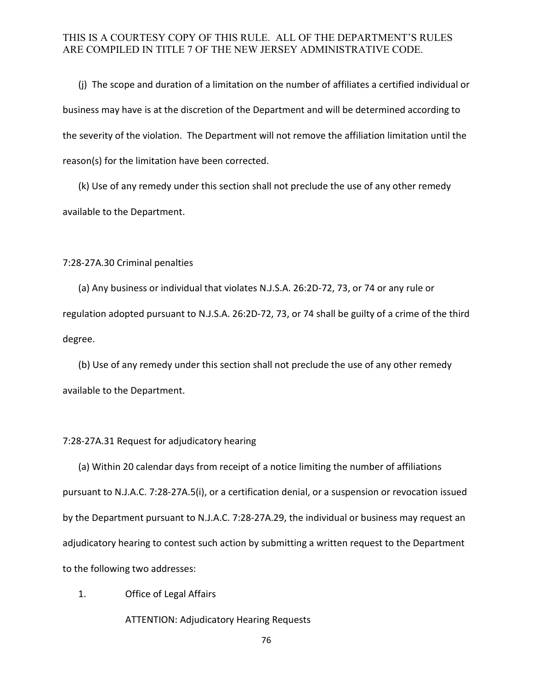(j) The scope and duration of a limitation on the number of affiliates a certified individual or business may have is at the discretion of the Department and will be determined according to the severity of the violation. The Department will not remove the affiliation limitation until the reason(s) for the limitation have been corrected.

(k) Use of any remedy under this section shall not preclude the use of any other remedy available to the Department.

#### 7:28-27A.30 Criminal penalties

(a) Any business or individual that violates N.J.S.A. 26:2D-72, 73, or 74 or any rule or regulation adopted pursuant to N.J.S.A. 26:2D-72, 73, or 74 shall be guilty of a crime of the third degree.

(b) Use of any remedy under this section shall not preclude the use of any other remedy available to the Department.

#### 7:28-27A.31 Request for adjudicatory hearing

 (a) Within 20 calendar days from receipt of a notice limiting the number of affiliations pursuant to N.J.A.C. 7:28-27A.5(i), or a certification denial, or a suspension or revocation issued by the Department pursuant to N.J.A.C. 7:28-27A.29, the individual or business may request an adjudicatory hearing to contest such action by submitting a written request to the Department to the following two addresses:

## 1. Office of Legal Affairs

ATTENTION: Adjudicatory Hearing Requests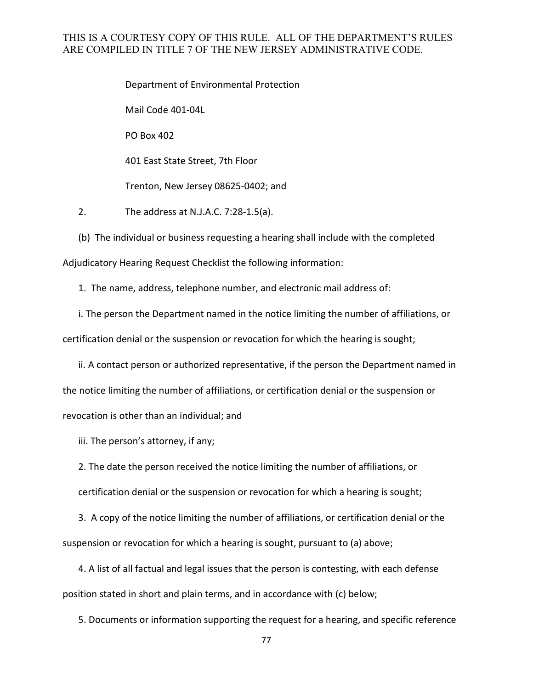Department of Environmental Protection

Mail Code 401-04L

PO Box 402

401 East State Street, 7th Floor

Trenton, New Jersey 08625-0402; and

2. The address at N.J.A.C. 7:28-1.5(a).

(b) The individual or business requesting a hearing shall include with the completed Adjudicatory Hearing Request Checklist the following information:

1. The name, address, telephone number, and electronic mail address of:

i. The person the Department named in the notice limiting the number of affiliations, or certification denial or the suspension or revocation for which the hearing is sought;

ii. A contact person or authorized representative, if the person the Department named in the notice limiting the number of affiliations, or certification denial or the suspension or revocation is other than an individual; and

iii. The person's attorney, if any;

2. The date the person received the notice limiting the number of affiliations, or certification denial or the suspension or revocation for which a hearing is sought;

3. A copy of the notice limiting the number of affiliations, or certification denial or the suspension or revocation for which a hearing is sought, pursuant to (a) above;

4. A list of all factual and legal issues that the person is contesting, with each defense position stated in short and plain terms, and in accordance with (c) below;

5. Documents or information supporting the request for a hearing, and specific reference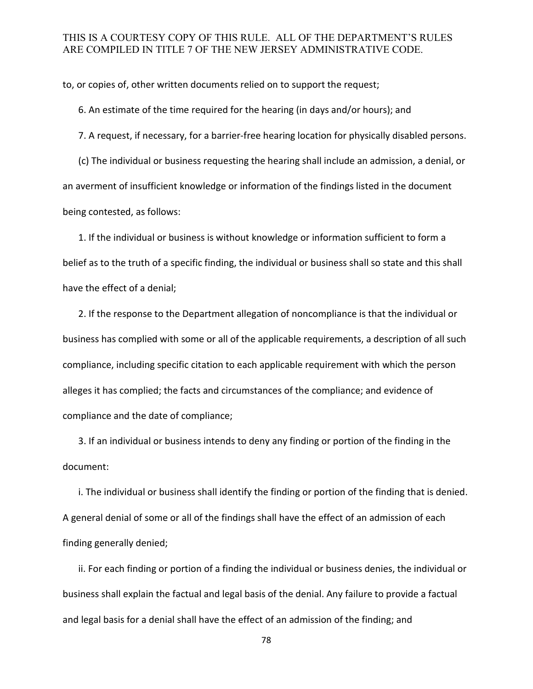to, or copies of, other written documents relied on to support the request;

6. An estimate of the time required for the hearing (in days and/or hours); and

7. A request, if necessary, for a barrier-free hearing location for physically disabled persons.

(c) The individual or business requesting the hearing shall include an admission, a denial, or an averment of insufficient knowledge or information of the findings listed in the document being contested, as follows:

1. If the individual or business is without knowledge or information sufficient to form a belief as to the truth of a specific finding, the individual or business shall so state and this shall have the effect of a denial;

2. If the response to the Department allegation of noncompliance is that the individual or business has complied with some or all of the applicable requirements, a description of all such compliance, including specific citation to each applicable requirement with which the person alleges it has complied; the facts and circumstances of the compliance; and evidence of compliance and the date of compliance;

3. If an individual or business intends to deny any finding or portion of the finding in the document:

i. The individual or business shall identify the finding or portion of the finding that is denied. A general denial of some or all of the findings shall have the effect of an admission of each finding generally denied;

ii. For each finding or portion of a finding the individual or business denies, the individual or business shall explain the factual and legal basis of the denial. Any failure to provide a factual and legal basis for a denial shall have the effect of an admission of the finding; and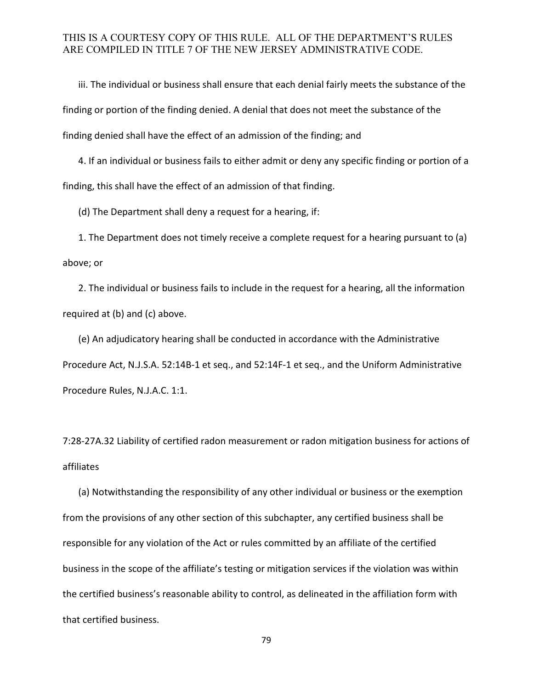iii. The individual or business shall ensure that each denial fairly meets the substance of the finding or portion of the finding denied. A denial that does not meet the substance of the finding denied shall have the effect of an admission of the finding; and

4. If an individual or business fails to either admit or deny any specific finding or portion of a finding, this shall have the effect of an admission of that finding.

(d) The Department shall deny a request for a hearing, if:

1. The Department does not timely receive a complete request for a hearing pursuant to (a) above; or

2. The individual or business fails to include in the request for a hearing, all the information required at (b) and (c) above.

(e) An adjudicatory hearing shall be conducted in accordance with the Administrative Procedure Act, N.J.S.A. 52:14B-1 et seq., and 52:14F-1 et seq., and the Uniform Administrative Procedure Rules, N.J.A.C. 1:1.

7:28-27A.32 Liability of certified radon measurement or radon mitigation business for actions of affiliates

 (a) Notwithstanding the responsibility of any other individual or business or the exemption from the provisions of any other section of this subchapter, any certified business shall be responsible for any violation of the Act or rules committed by an affiliate of the certified business in the scope of the affiliate's testing or mitigation services if the violation was within the certified business's reasonable ability to control, as delineated in the affiliation form with that certified business.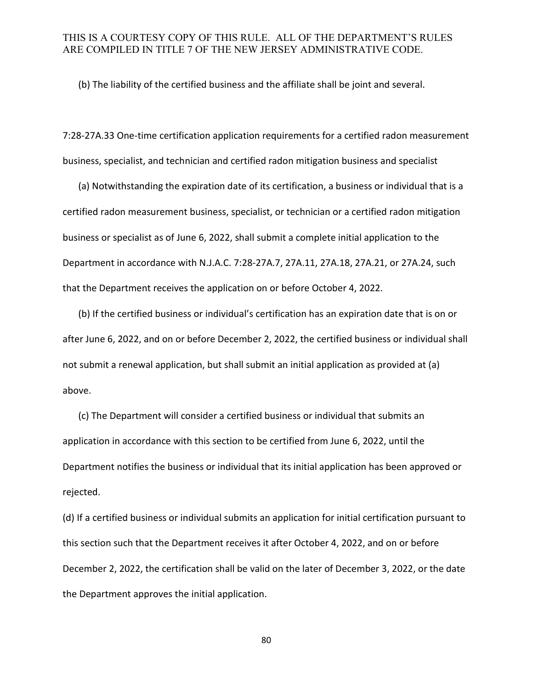(b) The liability of the certified business and the affiliate shall be joint and several.

7:28-27A.33 One-time certification application requirements for a certified radon measurement business, specialist, and technician and certified radon mitigation business and specialist

(a) Notwithstanding the expiration date of its certification, a business or individual that is a certified radon measurement business, specialist, or technician or a certified radon mitigation business or specialist as of June 6, 2022, shall submit a complete initial application to the Department in accordance with N.J.A.C. 7:28-27A.7, 27A.11, 27A.18, 27A.21, or 27A.24, such that the Department receives the application on or before October 4, 2022.

(b) If the certified business or individual's certification has an expiration date that is on or after June 6, 2022, and on or before December 2, 2022, the certified business or individual shall not submit a renewal application, but shall submit an initial application as provided at (a) above.

(c) The Department will consider a certified business or individual that submits an application in accordance with this section to be certified from June 6, 2022, until the Department notifies the business or individual that its initial application has been approved or rejected.

(d) If a certified business or individual submits an application for initial certification pursuant to this section such that the Department receives it after October 4, 2022, and on or before December 2, 2022, the certification shall be valid on the later of December 3, 2022, or the date the Department approves the initial application.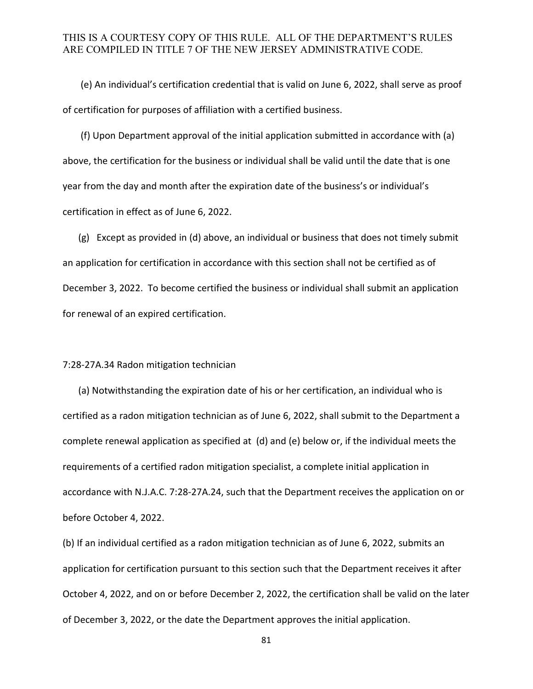(e) An individual's certification credential that is valid on June 6, 2022, shall serve as proof of certification for purposes of affiliation with a certified business.

(f) Upon Department approval of the initial application submitted in accordance with (a) above, the certification for the business or individual shall be valid until the date that is one year from the day and month after the expiration date of the business's or individual's certification in effect as of June 6, 2022.

(g) Except as provided in (d) above, an individual or business that does not timely submit an application for certification in accordance with this section shall not be certified as of December 3, 2022. To become certified the business or individual shall submit an application for renewal of an expired certification.

#### 7:28-27A.34 Radon mitigation technician

(a) Notwithstanding the expiration date of his or her certification, an individual who is certified as a radon mitigation technician as of June 6, 2022, shall submit to the Department a complete renewal application as specified at (d) and (e) below or, if the individual meets the requirements of a certified radon mitigation specialist, a complete initial application in accordance with N.J.A.C. 7:28-27A.24, such that the Department receives the application on or before October 4, 2022.

(b) If an individual certified as a radon mitigation technician as of June 6, 2022, submits an application for certification pursuant to this section such that the Department receives it after October 4, 2022, and on or before December 2, 2022, the certification shall be valid on the later of December 3, 2022, or the date the Department approves the initial application.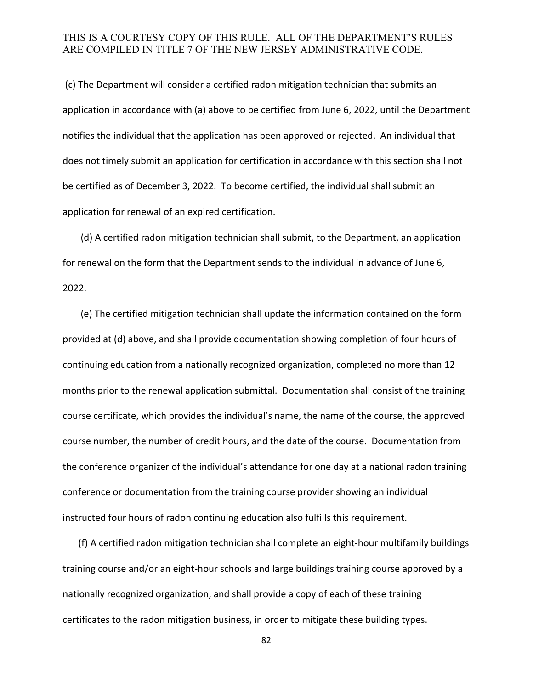(c) The Department will consider a certified radon mitigation technician that submits an application in accordance with (a) above to be certified from June 6, 2022, until the Department notifies the individual that the application has been approved or rejected. An individual that does not timely submit an application for certification in accordance with this section shall not be certified as of December 3, 2022. To become certified, the individual shall submit an application for renewal of an expired certification.

(d) A certified radon mitigation technician shall submit, to the Department, an application for renewal on the form that the Department sends to the individual in advance of June 6, 2022.

(e) The certified mitigation technician shall update the information contained on the form provided at (d) above, and shall provide documentation showing completion of four hours of continuing education from a nationally recognized organization, completed no more than 12 months prior to the renewal application submittal. Documentation shall consist of the training course certificate, which provides the individual's name, the name of the course, the approved course number, the number of credit hours, and the date of the course. Documentation from the conference organizer of the individual's attendance for one day at a national radon training conference or documentation from the training course provider showing an individual instructed four hours of radon continuing education also fulfills this requirement.

(f) A certified radon mitigation technician shall complete an eight-hour multifamily buildings training course and/or an eight-hour schools and large buildings training course approved by a nationally recognized organization, and shall provide a copy of each of these training certificates to the radon mitigation business, in order to mitigate these building types.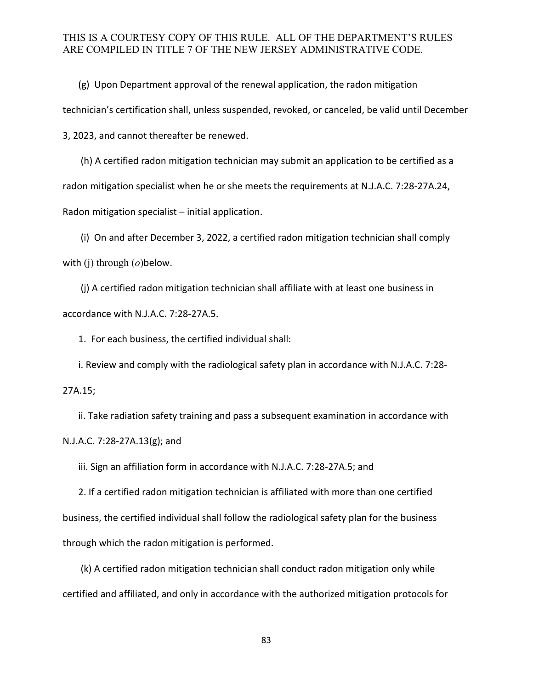(g) Upon Department approval of the renewal application, the radon mitigation technician's certification shall, unless suspended, revoked, or canceled, be valid until December 3, 2023, and cannot thereafter be renewed.

(h) A certified radon mitigation technician may submit an application to be certified as a radon mitigation specialist when he or she meets the requirements at N.J.A.C. 7:28-27A.24, Radon mitigation specialist – initial application.

(i) On and after December 3, 2022, a certified radon mitigation technician shall comply with (j) through (*o*)below.

(j) A certified radon mitigation technician shall affiliate with at least one business in accordance with N.J.A.C. 7:28-27A.5.

1. For each business, the certified individual shall:

i. Review and comply with the radiological safety plan in accordance with N.J.A.C. 7:28-

27A.15;

ii. Take radiation safety training and pass a subsequent examination in accordance with N.J.A.C. 7:28-27A.13(g); and

iii. Sign an affiliation form in accordance with N.J.A.C. 7:28-27A.5; and

2. If a certified radon mitigation technician is affiliated with more than one certified business, the certified individual shall follow the radiological safety plan for the business through which the radon mitigation is performed.

(k) A certified radon mitigation technician shall conduct radon mitigation only while certified and affiliated, and only in accordance with the authorized mitigation protocols for